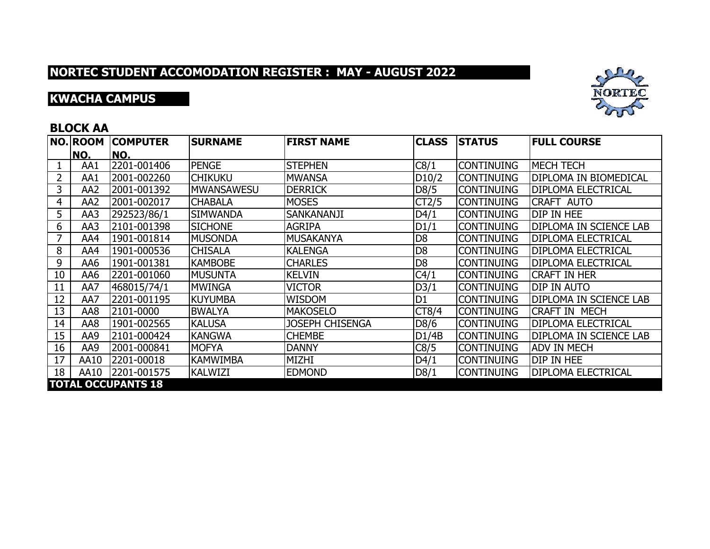# **KWACHA CAMPUS**



### **BLOCK AA**

|    | <b>NO. ROOM</b> | <b>COMPUTER</b>           | <b>SURNAME</b>    | <b>FIRST NAME</b>      | <b>CLASS</b>   | <b>STATUS</b>     | <b>FULL COURSE</b>        |
|----|-----------------|---------------------------|-------------------|------------------------|----------------|-------------------|---------------------------|
|    | NO.             | NO.                       |                   |                        |                |                   |                           |
|    | AA1             | 2201-001406               | <b>PENGE</b>      | <b>STEPHEN</b>         | C8/1           | <b>CONTINUING</b> | <b>MECH TECH</b>          |
| 2  | AA1             | 2001-002260               | ichikuku          | <b>MWANSA</b>          | D10/2          | <b>CONTINUING</b> | DIPLOMA IN BIOMEDICAL     |
| 3  | AA2             | 2001-001392               | <b>MWANSAWESU</b> | <b>DERRICK</b>         | D8/5           | <b>CONTINUING</b> | <b>DIPLOMA ELECTRICAL</b> |
| 4  | AA <sub>2</sub> | 2001-002017               | <b>CHABALA</b>    | <b>MOSES</b>           | CT2/5          | <b>CONTINUING</b> | <b>CRAFT AUTO</b>         |
| 5  | AA3             | 292523/86/1               | <b>SIMWANDA</b>   | SANKANANJI             | D4/1           | <b>CONTINUING</b> | DIP IN HEE                |
| 6  | AA3             | 2101-001398               | <b>SICHONE</b>    | <b>AGRIPA</b>          | D1/1           | <b>CONTINUING</b> | DIPLOMA IN SCIENCE LAB    |
| 7  | AA4             | 1901-001814               | <b>MUSONDA</b>    | <b>MUSAKANYA</b>       | D <sub>8</sub> | <b>CONTINUING</b> | <b>DIPLOMA ELECTRICAL</b> |
| 8  | AA4             | 1901-000536               | <b>CHISALA</b>    | <b>KALENGA</b>         | D <sub>8</sub> | <b>CONTINUING</b> | <b>DIPLOMA ELECTRICAL</b> |
| 9  | AA6             | 1901-001381               | <b>KAMBOBE</b>    | <b>CHARLES</b>         | D <sub>8</sub> | <b>CONTINUING</b> | <b>DIPLOMA ELECTRICAL</b> |
| 10 | AA6             | 2201-001060               | <b>MUSUNTA</b>    | <b>KELVIN</b>          | C4/1           | <b>CONTINUING</b> | <b>CRAFT IN HER</b>       |
| 11 | AA7             | 468015/74/1               | <b>MWINGA</b>     | <b>VICTOR</b>          | D3/1           | <b>CONTINUING</b> | <b>DIP IN AUTO</b>        |
| 12 | AA7             | 2201-001195               | IKUYUMBA          | WISDOM                 | D <sub>1</sub> | <b>CONTINUING</b> | DIPLOMA IN SCIENCE LAB    |
| 13 | AA8             | 2101-0000                 | <b>BWALYA</b>     | <b>MAKOSELO</b>        | CT8/4          | <b>CONTINUING</b> | <b>CRAFT IN MECH</b>      |
| 14 | AA8             | 1901-002565               | <b>KALUSA</b>     | <b>JOSEPH CHISENGA</b> | D8/6           | <b>CONTINUING</b> | <b>DIPLOMA ELECTRICAL</b> |
| 15 | AA9             | 2101-000424               | <b>KANGWA</b>     | <b>CHEMBE</b>          | D1/4B          | <b>CONTINUING</b> | DIPLOMA IN SCIENCE LAB    |
| 16 | AA9             | 2001-000841               | <b>MOFYA</b>      | <b>DANNY</b>           | C8/5           | <b>CONTINUING</b> | <b>ADV IN MECH</b>        |
| 17 | AA10            | 2201-00018                | <b>KAMWIMBA</b>   | MIZHI                  | D4/1           | <b>CONTINUING</b> | DIP IN HEE                |
| 18 | AA10            | 2201-001575               | <b>KALWIZI</b>    | <b>EDMOND</b>          | D8/1           | <b>CONTINUING</b> | <b>DIPLOMA ELECTRICAL</b> |
|    |                 | <b>TOTAL OCCUPANTS 18</b> |                   |                        |                |                   |                           |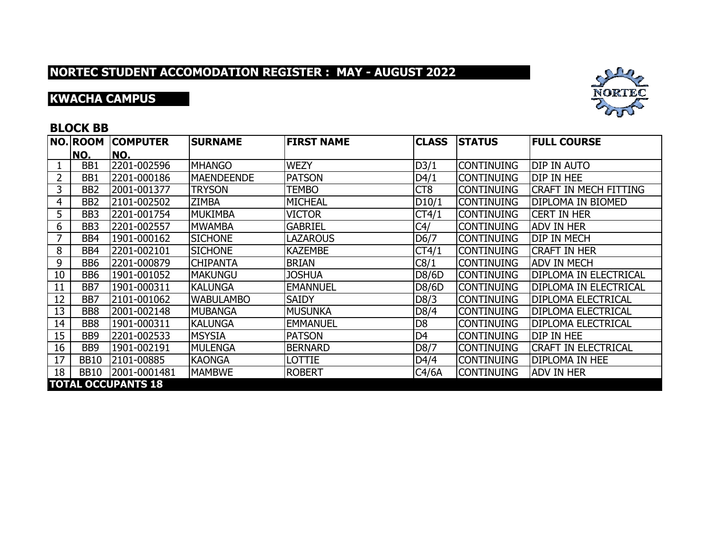## **KWACHA CAMPUS**



### **BLOCK BB**

|    | <b>NO. ROOM</b>  | <b>COMPUTER</b>           | <b>SURNAME</b>    | <b>FIRST NAME</b> | <b>CLASS</b>    | <b>STATUS</b>     | <b>FULL COURSE</b>           |
|----|------------------|---------------------------|-------------------|-------------------|-----------------|-------------------|------------------------------|
|    | NO.              | NO.                       |                   |                   |                 |                   |                              |
|    | BB1              | 2201-002596               | <b>MHANGO</b>     | <b>WEZY</b>       | D3/1            | <b>CONTINUING</b> | <b>DIP IN AUTO</b>           |
| 2  | BB1              | 2201-000186               | <b>MAENDEENDE</b> | <b>PATSON</b>     | D4/1            | <b>CONTINUING</b> | DIP IN HEE                   |
| 3  | BB <sub>2</sub>  | 2001-001377               | <b>TRYSON</b>     | <b>TEMBO</b>      | CT <sub>8</sub> | <b>CONTINUING</b> | <b>CRAFT IN MECH FITTING</b> |
| 4  | BB <sub>2</sub>  | 2101-002502               | <b>ZIMBA</b>      | <b>MICHEAL</b>    | D10/1           | <b>CONTINUING</b> | <b>DIPLOMA IN BIOMED</b>     |
| 5  | BB3              | 2201-001754               | MUKIMBA           | <b>VICTOR</b>     | CT4/1           | <b>CONTINUING</b> | <b>CERT IN HER</b>           |
| 6  | BB <sub>3</sub>  | 2201-002557               | <b>MWAMBA</b>     | <b>GABRIEL</b>    | C4/             | <b>CONTINUING</b> | <b>ADV IN HER</b>            |
| 7  | BB4              | 1901-000162               | <b>SICHONE</b>    | <b>LAZAROUS</b>   | D6/7            | <b>CONTINUING</b> | idip in Mech                 |
| 8  | BB4              | 2201-002101               | <b>SICHONE</b>    | <b>KAZEMBE</b>    | CT4/1           | <b>CONTINUING</b> | <b>CRAFT IN HER</b>          |
| 9  | BB <sub>6</sub>  | 2201-000879               | <b>CHIPANTA</b>   | <b>BRIAN</b>      | C8/1            | <b>CONTINUING</b> | <b>ADV IN MECH</b>           |
| 10 | BB <sub>6</sub>  | 1901-001052               | <b>MAKUNGU</b>    | <b>JOSHUA</b>     | D8/6D           | <b>CONTINUING</b> | <b>DIPLOMA IN ELECTRICAL</b> |
| 11 | BB7              | 1901-000311               | <b>KALUNGA</b>    | <b>EMANNUEL</b>   | D8/6D           | <b>CONTINUING</b> | DIPLOMA IN ELECTRICAL        |
| 12 | BB7              | 2101-001062               | <b>WABULAMBO</b>  | <b>SAIDY</b>      | D8/3            | <b>CONTINUING</b> | <b>DIPLOMA ELECTRICAL</b>    |
| 13 | BB8              | 2001-002148               | MUBANGA           | <b>MUSUNKA</b>    | D8/4            | <b>CONTINUING</b> | <b>DIPLOMA ELECTRICAL</b>    |
| 14 | BB8              | 1901-000311               | <b>KALUNGA</b>    | <b>EMMANUEL</b>   | D <sub>8</sub>  | <b>CONTINUING</b> | <b>DIPLOMA ELECTRICAL</b>    |
| 15 | BB <sub>9</sub>  | 2201-002533               | <b>MSYSIA</b>     | <b>PATSON</b>     | D <sub>4</sub>  | <b>CONTINUING</b> | DIP IN HEE                   |
| 16 | BB <sub>9</sub>  | 1901-002191               | MULENGA           | <b>BERNARD</b>    | D8/7            | <b>CONTINUING</b> | ICRAFT IN ELECTRICAL         |
| 17 | <b>BB10</b>      | 2101-00885                | <b>KAONGA</b>     | LOTTIE            | D4/4            | <b>CONTINUING</b> | <b>DIPLOMA IN HEE</b>        |
| 18 | BB <sub>10</sub> | 2001-0001481              | <b>MAMBWE</b>     | <b>ROBERT</b>     | C4/6A           | <b>CONTINUING</b> | <b>ADV IN HER</b>            |
|    |                  | <b>TOTAL OCCUPANTS 18</b> |                   |                   |                 |                   |                              |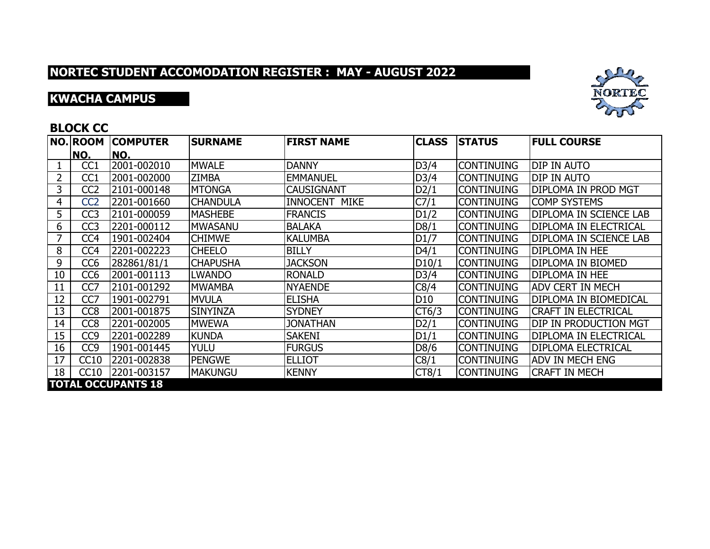## **KWACHA CAMPUS**



### **BLOCK CC**

|    | <b>NO. ROOM</b> | <b>COMPUTER</b>           | <b>SURNAME</b>  | <b>FIRST NAME</b>    | <b>CLASS</b>    | <b>STATUS</b>     | <b>FULL COURSE</b>            |
|----|-----------------|---------------------------|-----------------|----------------------|-----------------|-------------------|-------------------------------|
|    | NO.             | NO.                       |                 |                      |                 |                   |                               |
|    | CC1             | 2001-002010               | <b>MWALE</b>    | <b>DANNY</b>         | D3/4            | <b>CONTINUING</b> | <b>DIP IN AUTO</b>            |
| 2  | CC1             | 2001-002000               | <b>ZIMBA</b>    | <b>EMMANUEL</b>      | D3/4            | <b>CONTINUING</b> | DIP IN AUTO                   |
| 3  | CC <sub>2</sub> | 2101-000148               | <b>MTONGA</b>   | <b>CAUSIGNANT</b>    | D2/1            | <b>CONTINUING</b> | DIPLOMA IN PROD MGT           |
| 4  | CC <sub>2</sub> | 2201-001660               | <b>CHANDULA</b> | <b>INNOCENT MIKE</b> | C7/1            | <b>CONTINUING</b> | <b>COMP SYSTEMS</b>           |
| 5  | CC <sub>3</sub> | 2101-000059               | <b>MASHEBE</b>  | <b>FRANCIS</b>       | D1/2            | <b>CONTINUING</b> | <b>DIPLOMA IN SCIENCE LAB</b> |
| 6  | CC <sub>3</sub> | 2201-000112               | <b>MWASANU</b>  | <b>BALAKA</b>        | D8/1            | <b>CONTINUING</b> | DIPLOMA IN ELECTRICAL         |
| 7  | CC <sub>4</sub> | 1901-002404               | <b>CHIMWE</b>   | <b>KALUMBA</b>       | D1/7            | <b>CONTINUING</b> | DIPLOMA IN SCIENCE LAB        |
| 8  | CC <sub>4</sub> | 2201-002223               | <b>CHEELO</b>   | <b>BILLY</b>         | D4/1            | <b>CONTINUING</b> | <b>DIPLOMA IN HEE</b>         |
| 9  | CC <sub>6</sub> | 282861/81/1               | <b>CHAPUSHA</b> | <b>JACKSON</b>       | D10/1           | <b>CONTINUING</b> | <b>DIPLOMA IN BIOMED</b>      |
| 10 | CC <sub>6</sub> | 2001-001113               | <b>LWANDO</b>   | <b>RONALD</b>        | D3/4            | <b>CONTINUING</b> | <b>DIPLOMA IN HEE</b>         |
| 11 | CC7             | 2101-001292               | <b>MWAMBA</b>   | <b>NYAENDE</b>       | C8/4            | <b>CONTINUING</b> | <b>ADV CERT IN MECH</b>       |
| 12 | CC7             | 1901-002791               | <b>MVULA</b>    | <b>ELISHA</b>        | D <sub>10</sub> | <b>CONTINUING</b> | DIPLOMA IN BIOMEDICAL         |
| 13 | CC <sub>8</sub> | 2001-001875               | <b>SINYINZA</b> | <b>SYDNEY</b>        | CT6/3           | <b>CONTINUING</b> | <b>CRAFT IN ELECTRICAL</b>    |
| 14 | CC <sub>8</sub> | 2201-002005               | <b>MWEWA</b>    | <b>JONATHAN</b>      | D2/1            | <b>CONTINUING</b> | DIP IN PRODUCTION MGT         |
| 15 | CC <sub>9</sub> | 2201-002289               | <b>KUNDA</b>    | <b>SAKENI</b>        | D1/1            | <b>CONTINUING</b> | DIPLOMA IN ELECTRICAL         |
| 16 | CC <sub>9</sub> | 1901-001445               | Yulu            | <b>FURGUS</b>        | D8/6            | <b>CONTINUING</b> | <b>DIPLOMA ELECTRICAL</b>     |
| 17 | CC10            | 2201-002838               | <b>PENGWE</b>   | <b>ELLIOT</b>        | C8/1            | <b>CONTINUING</b> | <b>ADV IN MECH ENG</b>        |
| 18 | CC10            | 2201-003157               | <b>MAKUNGU</b>  | <b>KENNY</b>         | CT8/1           | <b>CONTINUING</b> | <b>CRAFT IN MECH</b>          |
|    |                 | <b>TOTAL OCCUPANTS 18</b> |                 |                      |                 |                   |                               |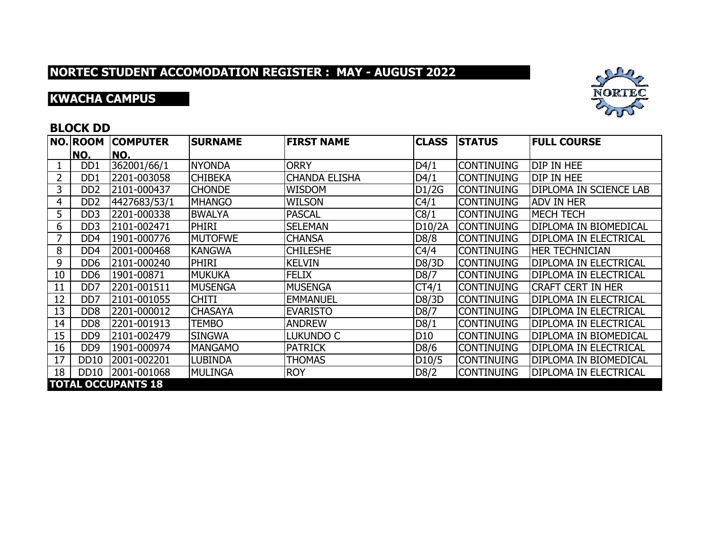## **KWACHA CAMPUS**



### **BLOCK DD**

|    | NO. ROOM                    | <b>COMPUTER</b>           | <b>SURNAME</b> | <b>FIRST NAME</b>    | <b>CLASS</b>       | <b>STATUS</b>     | <b>FULL COURSE</b>            |
|----|-----------------------------|---------------------------|----------------|----------------------|--------------------|-------------------|-------------------------------|
|    | NO.                         | NO.                       |                |                      |                    |                   |                               |
|    | DD1                         | 362001/66/1               | <b>NYONDA</b>  | <b>ORRY</b>          | D4/1               | <b>CONTINUING</b> | <b>DIP IN HEE</b>             |
| 2  | DD <sub>1</sub>             | 2201-003058               | <b>CHIBEKA</b> | <b>CHANDA ELISHA</b> | D4/1               | <b>CONTINUING</b> | <b>DIP IN HEE</b>             |
| 3  | D <sub>D</sub> <sub>2</sub> | 2101-000437               | <b>CHONDE</b>  | <b>WISDOM</b>        | D1/2G              | <b>CONTINUING</b> | <b>DIPLOMA IN SCIENCE LAB</b> |
| 4  | D <sub>D</sub> <sub>2</sub> | 4427683/53/1              | <b>MHANGO</b>  | <b>WILSON</b>        | C4/1               | <b>CONTINUING</b> | <b>ADV IN HER</b>             |
| 5  | DD <sub>3</sub>             | 2201-000338               | <b>BWALYA</b>  | <b>PASCAL</b>        | C8/1               | <b>CONTINUING</b> | <b>MECH TECH</b>              |
| 6  | DD <sub>3</sub>             | 2101-002471               | PHIRI          | <b>SELEMAN</b>       | D10/2A             | <b>CONTINUING</b> | DIPLOMA IN BIOMEDICAL         |
| 7  | DD4                         | 1901-000776               | <b>MUTOFWE</b> | <b>CHANSA</b>        | D8/8               | <b>CONTINUING</b> | <b>DIPLOMA IN ELECTRICAL</b>  |
| 8  | DD4                         | 2001-000468               | <b>KANGWA</b>  | <b>CHILESHE</b>      | C4/4               | <b>CONTINUING</b> | <b>HER TECHNICIAN</b>         |
| 9  | DD <sub>6</sub>             | 2101-000240               | <b>PHIRI</b>   | <b>KELVIN</b>        | D8/3D              | <b>CONTINUING</b> | <b>DIPLOMA IN ELECTRICAL</b>  |
| 10 | DD <sub>6</sub>             | 1901-00871                | <b>MUKUKA</b>  | <b>FELIX</b>         | D8/7               | <b>CONTINUING</b> | <b>DIPLOMA IN ELECTRICAL</b>  |
| 11 | D <sub>D</sub>              | 2201-001511               | <b>MUSENGA</b> | <b>MUSENGA</b>       | CT4/1              | <b>CONTINUING</b> | <b>CRAFT CERT IN HER</b>      |
| 12 | DD <sub>7</sub>             | 2101-001055               | <b>CHITI</b>   | <b>EMMANUEL</b>      | D8/3D              | <b>CONTINUING</b> | <b>DIPLOMA IN ELECTRICAL</b>  |
| 13 | D <sub>D</sub> <sub>8</sub> | 2201-000012               | <b>CHASAYA</b> | <b>EVARISTO</b>      | D8/7               | <b>CONTINUING</b> | <b>DIPLOMA IN ELECTRICAL</b>  |
| 14 | D <sub>D</sub> <sub>8</sub> | 2201-001913               | TEMBO          | <b>ANDREW</b>        | D8/1               | <b>CONTINUING</b> | <b>DIPLOMA IN ELECTRICAL</b>  |
| 15 | D <sub>D</sub> <sub>9</sub> | 2101-002479               | <b>SINGWA</b>  | lukundo C            | D <sub>10</sub>    | <b>CONTINUING</b> | DIPLOMA IN BIOMEDICAL         |
| 16 | D <sub>D</sub> <sub>9</sub> | 1901-000974               | <b>MANGAMO</b> | <b>PATRICK</b>       | D8/6               | <b>CONTINUING</b> | <b>DIPLOMA IN ELECTRICAL</b>  |
| 17 | <b>DD10</b>                 | 2001-002201               | LUBINDA        | <b>THOMAS</b>        | D <sub>10</sub> /5 | <b>CONTINUING</b> | DIPLOMA IN BIOMEDICAL         |
| 18 | DD <sub>10</sub>            | 2001-001068               | <b>MULINGA</b> | <b>ROY</b>           | D8/2               | <b>CONTINUING</b> | <b>DIPLOMA IN ELECTRICAL</b>  |
|    |                             | <b>TOTAL OCCUPANTS 18</b> |                |                      |                    |                   |                               |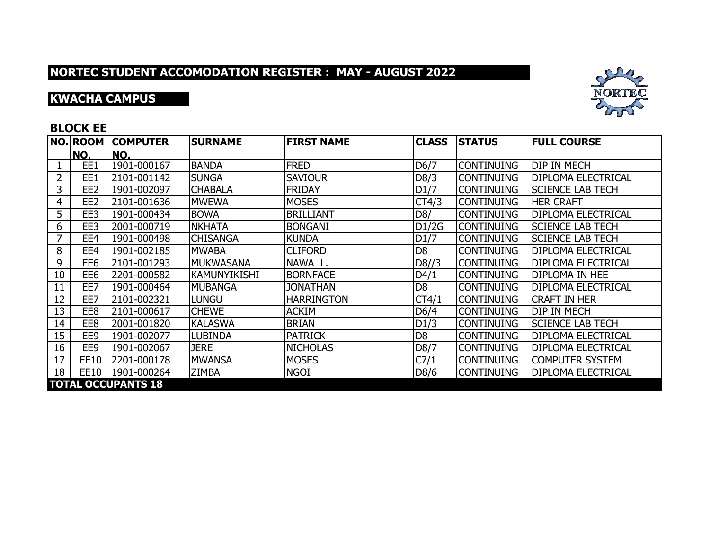## **KWACHA CAMPUS**



### **BLOCK EE**

|    | <b>NO.ROOM</b>            | <b>COMPUTER</b> | <b>SURNAME</b>      | <b>FIRST NAME</b> | <b>CLASS</b>      | <b>STATUS</b>     | <b>FULL COURSE</b>        |  |  |  |  |
|----|---------------------------|-----------------|---------------------|-------------------|-------------------|-------------------|---------------------------|--|--|--|--|
|    | NO.                       | NO.             |                     |                   |                   |                   |                           |  |  |  |  |
|    | EE1                       | 1901-000167     | <b>BANDA</b>        | <b>FRED</b>       | D <sub>6</sub> /7 | <b>CONTINUING</b> | <b>DIP IN MECH</b>        |  |  |  |  |
| 2  | EE1                       | 2101-001142     | <b>SUNGA</b>        | <b>SAVIOUR</b>    | D8/3              | <b>CONTINUING</b> | <b>DIPLOMA ELECTRICAL</b> |  |  |  |  |
| 3  | EE <sub>2</sub>           | 1901-002097     | <b>CHABALA</b>      | <b>FRIDAY</b>     | D1/7              | <b>CONTINUING</b> | <b>SCIENCE LAB TECH</b>   |  |  |  |  |
| 4  | EE <sub>2</sub>           | 2101-001636     | <b>MWEWA</b>        | <b>MOSES</b>      | CT4/3             | <b>CONTINUING</b> | <b>HER CRAFT</b>          |  |  |  |  |
| 5  | EE3                       | 1901-000434     | <b>BOWA</b>         | <b>BRILLIANT</b>  | D8/               | <b>CONTINUING</b> | <b>DIPLOMA ELECTRICAL</b> |  |  |  |  |
| 6  | EE3                       | 2001-000719     | <b>NKHATA</b>       | <b>BONGANI</b>    | D1/2G             | <b>CONTINUING</b> | <b>SCIENCE LAB TECH</b>   |  |  |  |  |
| 7  | EE4                       | 1901-000498     | <b>CHISANGA</b>     | <b>KUNDA</b>      | D1/7              | <b>CONTINUING</b> | <b>SCIENCE LAB TECH</b>   |  |  |  |  |
| 8  | EE4                       | 1901-002185     | <b>MWABA</b>        | <b>CLIFORD</b>    | D <sub>8</sub>    | <b>CONTINUING</b> | <b>DIPLOMA ELECTRICAL</b> |  |  |  |  |
| 9  | EE <sub>6</sub>           | 2101-001293     | <b>MUKWASANA</b>    | NAWA L.           | D8/3              | <b>CONTINUING</b> | <b>DIPLOMA ELECTRICAL</b> |  |  |  |  |
| 10 | EE <sub>6</sub>           | 2201-000582     | <b>KAMUNYIKISHI</b> | <b>BORNFACE</b>   | D4/1              | <b>CONTINUING</b> | <b>DIPLOMA IN HEE</b>     |  |  |  |  |
| 11 | EE7                       | 1901-000464     | IMUBANGA            | <b>JONATHAN</b>   | D <sub>8</sub>    | <b>CONTINUING</b> | <b>DIPLOMA ELECTRICAL</b> |  |  |  |  |
| 12 | EE7                       | 2101-002321     | Lungu               | <b>HARRINGTON</b> | CT4/1             | <b>CONTINUING</b> | <b>CRAFT IN HER</b>       |  |  |  |  |
| 13 | EE8                       | 2101-000617     | <b>CHEWE</b>        | <b>ACKIM</b>      | D6/4              | <b>CONTINUING</b> | <b>DIP IN MECH</b>        |  |  |  |  |
| 14 | EE8                       | 2001-001820     | <b>KALASWA</b>      | <b>BRIAN</b>      | D1/3              | <b>CONTINUING</b> | <b>SCIENCE LAB TECH</b>   |  |  |  |  |
| 15 | EE9                       | 1901-002077     | <b>LUBINDA</b>      | <b>PATRICK</b>    | D <sub>8</sub>    | <b>CONTINUING</b> | <b>DIPLOMA ELECTRICAL</b> |  |  |  |  |
| 16 | EE9                       | 1901-002067     | <b>JERE</b>         | <b>NICHOLAS</b>   | D8/7              | <b>CONTINUING</b> | <b>DIPLOMA ELECTRICAL</b> |  |  |  |  |
| 17 | <b>EE10</b>               | 2201-000178     | <b>MWANSA</b>       | <b>MOSES</b>      | C7/1              | <b>CONTINUING</b> | <b>COMPUTER SYSTEM</b>    |  |  |  |  |
| 18 | EE10                      | 1901-000264     | <b>ZIMBA</b>        | <b>NGOI</b>       | D8/6              | <b>CONTINUING</b> | DIPLOMA ELECTRICAL        |  |  |  |  |
|    | <b>TOTAL OCCUPANTS 18</b> |                 |                     |                   |                   |                   |                           |  |  |  |  |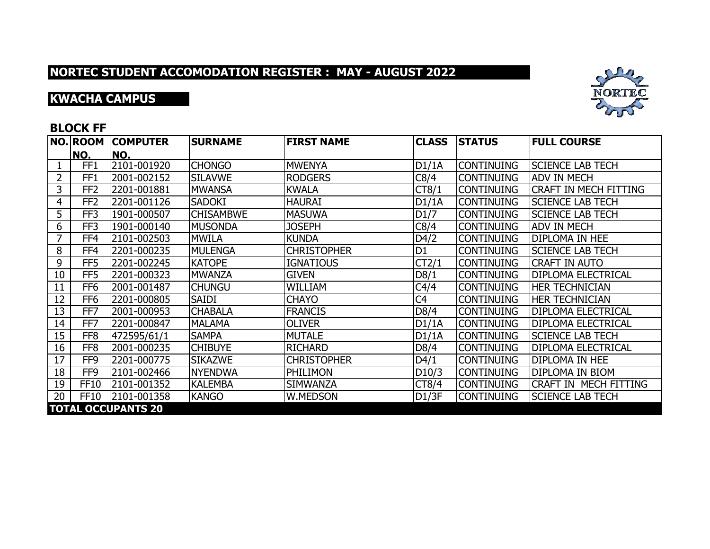## **KWACHA CAMPUS**



#### **BLOCK FF**

|    | <b>NO. ROOM</b> | <b>COMPUTER</b>           | <b>SURNAME</b>   | <b>FIRST NAME</b>  | <b>CLASS</b>   | <b>STATUS</b>     | <b>FULL COURSE</b>           |
|----|-----------------|---------------------------|------------------|--------------------|----------------|-------------------|------------------------------|
|    | NO.             | NO.                       |                  |                    |                |                   |                              |
|    | FF <sub>1</sub> | 2101-001920               | <b>CHONGO</b>    | <b>MWENYA</b>      | D1/1A          | <b>CONTINUING</b> | <b>SCIENCE LAB TECH</b>      |
| 2  | FF <sub>1</sub> | 2001-002152               | <b>SILAVWE</b>   | <b>RODGERS</b>     | C8/4           | <b>CONTINUING</b> | <b>ADV IN MECH</b>           |
| 3  | FF <sub>2</sub> | 2201-001881               | <b>MWANSA</b>    | <b>KWALA</b>       | CT8/1          | <b>CONTINUING</b> | <b>CRAFT IN MECH FITTING</b> |
| 4  | FF <sub>2</sub> | 2201-001126               | <b>SADOKI</b>    | <b>HAURAI</b>      | DI/1A          | <b>CONTINUING</b> | <b>SCIENCE LAB TECH</b>      |
| 5  | FF3             | 1901-000507               | <b>CHISAMBWE</b> | <b>MASUWA</b>      | D1/7           | <b>CONTINUING</b> | <b>SCIENCE LAB TECH</b>      |
| 6  | FF3             | 1901-000140               | <b>MUSONDA</b>   | <b>JOSEPH</b>      | C8/4           | <b>CONTINUING</b> | <b>ADV IN MECH</b>           |
| 7  | FF4             | 2101-002503               | <b>MWILA</b>     | <b>KUNDA</b>       | D4/2           | <b>CONTINUING</b> | DIPLOMA IN HEE               |
| 8  | FF4             | 2201-000235               | <b>MULENGA</b>   | <b>CHRISTOPHER</b> | D <sub>1</sub> | <b>CONTINUING</b> | <b>SCIENCE LAB TECH</b>      |
| 9  | FF <sub>5</sub> | 2201-002245               | <b>KATOPE</b>    | <b>IGNATIOUS</b>   | CT2/1          | <b>CONTINUING</b> | <b>CRAFT IN AUTO</b>         |
| 10 | FF <sub>5</sub> | 2201-000323               | <b>MWANZA</b>    | <b>GIVEN</b>       | D8/1           | <b>CONTINUING</b> | <b>DIPLOMA ELECTRICAL</b>    |
| 11 | FF <sub>6</sub> | 2001-001487               | <b>CHUNGU</b>    | <b>WILLIAM</b>     | C4/4           | <b>CONTINUING</b> | <b>HER TECHNICIAN</b>        |
| 12 | FF <sub>6</sub> | 2201-000805               | SAIDI            | <b>CHAYO</b>       | C <sub>4</sub> | <b>CONTINUING</b> | <b>HER TECHNICIAN</b>        |
| 13 | FF7             | 2001-000953               | <b>CHABALA</b>   | <b>FRANCIS</b>     | D8/4           | <b>CONTINUING</b> | <b>DIPLOMA ELECTRICAL</b>    |
| 14 | FF7             | 2201-000847               | <b>MALAMA</b>    | <b>OLIVER</b>      | D1/1A          | <b>CONTINUING</b> | <b>DIPLOMA ELECTRICAL</b>    |
| 15 | FF <sub>8</sub> | 472595/61/1               | <b>SAMPA</b>     | <b>MUTALE</b>      | D1/1A          | <b>CONTINUING</b> | <b>SCIENCE LAB TECH</b>      |
| 16 | FF <sub>8</sub> | 2001-000235               | <b>CHIBUYE</b>   | <b>RICHARD</b>     | D8/4           | <b>CONTINUING</b> | <b>DIPLOMA ELECTRICAL</b>    |
| 17 | FF9             | 2201-000775               | <b>SIKAZWE</b>   | <b>CHRISTOPHER</b> | D4/1           | <b>CONTINUING</b> | <b>DIPLOMA IN HEE</b>        |
| 18 | FF9             | 2101-002466               | <b>NYENDWA</b>   | PHILIMON           | D10/3          | <b>CONTINUING</b> | <b>DIPLOMA IN BIOM</b>       |
| 19 | <b>FF10</b>     | 2101-001352               | <b>KALEMBA</b>   | <b>SIMWANZA</b>    | CT8/4          | <b>CONTINUING</b> | <b>CRAFT IN MECH FITTING</b> |
| 20 | <b>FF10</b>     | 2101-001358               | <b>KANGO</b>     | W.MEDSON           | D1/3F          | <b>CONTINUING</b> | <b>SCIENCE LAB TECH</b>      |
|    |                 | <b>TOTAL OCCUPANTS 20</b> |                  |                    |                |                   |                              |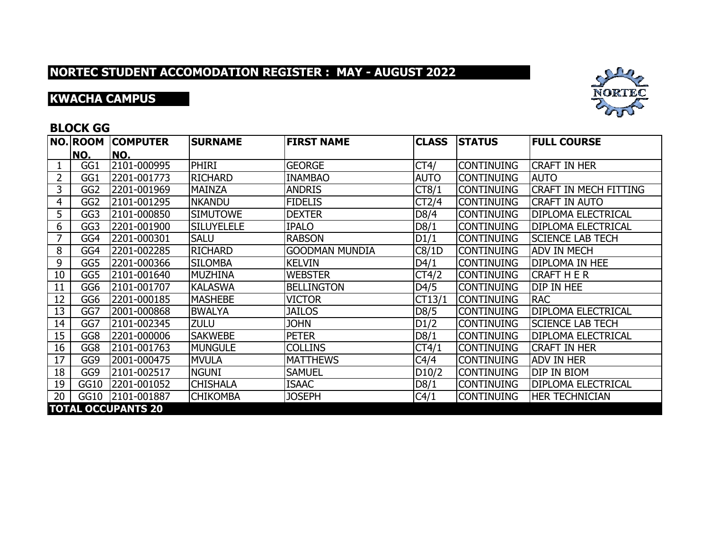## **KWACHA CAMPUS**



### **BLOCK GG**

|    | <b>NO.ROOM</b>  | <b>COMPUTER</b>           | <b>SURNAME</b>    | <b>FIRST NAME</b>     | <b>CLASS</b> | <b>STATUS</b>     | <b>FULL COURSE</b>           |
|----|-----------------|---------------------------|-------------------|-----------------------|--------------|-------------------|------------------------------|
|    | NO.             | NO.                       |                   |                       |              |                   |                              |
|    | GG1             | 2101-000995               | <b>PHIRI</b>      | <b>GEORGE</b>         | CT4/         | <b>CONTINUING</b> | <b>CRAFT IN HER</b>          |
| 2  | GG1             | 2201-001773               | <b>RICHARD</b>    | <b>INAMBAO</b>        | <b>AUTO</b>  | <b>CONTINUING</b> | <b>AUTO</b>                  |
| 3  | GG <sub>2</sub> | 2201-001969               | <b>MAINZA</b>     | <b>ANDRIS</b>         | CT8/1        | <b>CONTINUING</b> | <b>CRAFT IN MECH FITTING</b> |
| 4  | GG <sub>2</sub> | 2101-001295               | <b>NKANDU</b>     | <b>FIDELIS</b>        | CT2/4        | <b>CONTINUING</b> | <b>CRAFT IN AUTO</b>         |
| 5  | GG3             | 2101-000850               | <b>SIMUTOWE</b>   | <b>DEXTER</b>         | D8/4         | <b>CONTINUING</b> | <b>DIPLOMA ELECTRICAL</b>    |
| 6  | GG3             | 2201-001900               | <b>SILUYELELE</b> | <b>IPALO</b>          | D8/1         | <b>CONTINUING</b> | <b>DIPLOMA ELECTRICAL</b>    |
| 7  | GG4             | 2201-000301               | <b>SALU</b>       | <b>RABSON</b>         | D1/1         | <b>CONTINUING</b> | <b>SCIENCE LAB TECH</b>      |
| 8  | GG4             | 2201-002285               | <b>RICHARD</b>    | <b>GOODMAN MUNDIA</b> | C8/1D        | <b>CONTINUING</b> | <b>ADV IN MECH</b>           |
| 9  | GG5             | 2201-000366               | <b>SILOMBA</b>    | <b>KELVIN</b>         | D4/1         | <b>CONTINUING</b> | <b>DIPLOMA IN HEE</b>        |
| 10 | GG5             | 2101-001640               | MUZHINA           | <b>WEBSTER</b>        | CT4/2        | <b>CONTINUING</b> | <b>CRAFT H E R</b>           |
| 11 | GG6             | 2101-001707               | <b>KALASWA</b>    | <b>BELLINGTON</b>     | D4/5         | <b>CONTINUING</b> | DIP IN HEE                   |
| 12 | GG <sub>6</sub> | 2201-000185               | <b>MASHEBE</b>    | <b>VICTOR</b>         | CT13/1       | <b>CONTINUING</b> | <b>RAC</b>                   |
| 13 | GG7             | 2001-000868               | <b>BWALYA</b>     | <b>JAILOS</b>         | D8/5         | <b>CONTINUING</b> | <b>DIPLOMA ELECTRICAL</b>    |
| 14 | GG7             | 2101-002345               | <b>ZULU</b>       | <b>JOHN</b>           | D1/2         | <b>CONTINUING</b> | <b>SCIENCE LAB TECH</b>      |
| 15 | GG8             | 2201-000006               | <b>SAKWEBE</b>    | <b>PETER</b>          | D8/1         | <b>CONTINUING</b> | <b>DIPLOMA ELECTRICAL</b>    |
| 16 | GG8             | 2101-001763               | <b>MUNGULE</b>    | <b>COLLINS</b>        | CT4/1        | <b>CONTINUING</b> | <b>CRAFT IN HER</b>          |
| 17 | GG9             | 2001-000475               | <b>MVULA</b>      | <b>MATTHEWS</b>       | C4/4         | <b>CONTINUING</b> | <b>ADV IN HER</b>            |
| 18 | GG9             | 2101-002517               | <b>NGUNI</b>      | <b>SAMUEL</b>         | D10/2        | <b>CONTINUING</b> | <b>DIP IN BIOM</b>           |
| 19 | GG10            | 2201-001052               | <b>CHISHALA</b>   | <b>ISAAC</b>          | D8/1         | <b>CONTINUING</b> | <b>DIPLOMA ELECTRICAL</b>    |
| 20 | GG10            | 2101-001887               | <b>CHIKOMBA</b>   | <b>JOSEPH</b>         | C4/1         | <b>CONTINUING</b> | <b>HER TECHNICIAN</b>        |
|    |                 | <b>TOTAL OCCUPANTS 20</b> |                   |                       |              |                   |                              |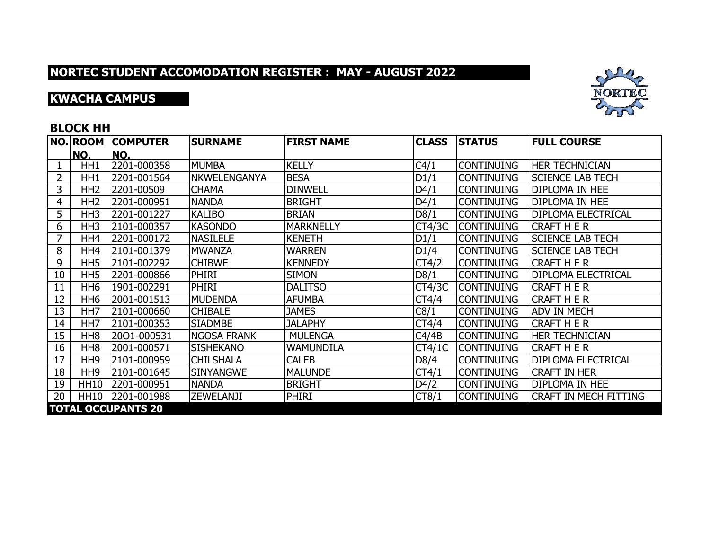## **KWACHA CAMPUS**



### **BLOCK HH**

|    | NO. ROOM        | <b>COMPUTER</b>           | <b>SURNAME</b>      | <b>FIRST NAME</b> | <b>CLASS</b> | <b>STATUS</b>     | <b>FULL COURSE</b>           |
|----|-----------------|---------------------------|---------------------|-------------------|--------------|-------------------|------------------------------|
|    | NO.             | NO.                       |                     |                   |              |                   |                              |
|    | HH1             | 2201-000358               | <b>MUMBA</b>        | <b>KELLY</b>      | C4/1         | <b>CONTINUING</b> | <b>HER TECHNICIAN</b>        |
| 2  | HH1             | 2201-001564               | <b>NKWELENGANYA</b> | <b>BESA</b>       | D1/1         | <b>CONTINUING</b> | <b>SCIENCE LAB TECH</b>      |
| 3  | HH <sub>2</sub> | 2201-00509                | <b>CHAMA</b>        | <b>DINWELL</b>    | D4/1         | <b>CONTINUING</b> | <b>DIPLOMA IN HEE</b>        |
| 4  | HH <sub>2</sub> | 2201-000951               | <b>NANDA</b>        | <b>BRIGHT</b>     | D4/1         | <b>CONTINUING</b> | <b>DIPLOMA IN HEE</b>        |
| 5  | HH <sub>3</sub> | 2201-001227               | <b>KALIBO</b>       | <b>BRIAN</b>      | D8/1         | <b>CONTINUING</b> | <b>DIPLOMA ELECTRICAL</b>    |
| 6  | HH <sub>3</sub> | 2101-000357               | <b>KASONDO</b>      | <b>MARKNELLY</b>  | CT4/3C       | <b>CONTINUING</b> | <b>CRAFT H E R</b>           |
| 7  | HH4             | 2201-000172               | <b>NASILELE</b>     | <b>KENETH</b>     | D1/1         | <b>CONTINUING</b> | <b>SCIENCE LAB TECH</b>      |
| 8  | HH4             | 2101-001379               | <b>MWANZA</b>       | <b>WARREN</b>     | D1/4         | <b>CONTINUING</b> | <b>SCIENCE LAB TECH</b>      |
| 9  | HH <sub>5</sub> | 2101-002292               | <b>CHIBWE</b>       | <b>KENNEDY</b>    | CT4/2        | <b>CONTINUING</b> | <b>CRAFT H E R</b>           |
| 10 | HH <sub>5</sub> | 2201-000866               | <b>PHIRI</b>        | <b>SIMON</b>      | D8/1         | <b>CONTINUING</b> | <b>DIPLOMA ELECTRICAL</b>    |
| 11 | HH <sub>6</sub> | 1901-002291               | PHIRI               | <b>DALITSO</b>    | CT4/3C       | <b>CONTINUING</b> | <b>CRAFT H E R</b>           |
| 12 | HH <sub>6</sub> | 2001-001513               | <b>MUDENDA</b>      | <b>AFUMBA</b>     | CT4/4        | <b>CONTINUING</b> | <b>CRAFT H E R</b>           |
| 13 | HH <sub>7</sub> | 2101-000660               | <b>CHIBALE</b>      | <b>JAMES</b>      | C8/1         | <b>CONTINUING</b> | <b>ADV IN MECH</b>           |
| 14 | HH <sub>7</sub> | 2101-000353               | <b>SIADMBE</b>      | <b>JALAPHY</b>    | CT4/4        | <b>CONTINUING</b> | <b>CRAFT H E R</b>           |
| 15 | HH <sub>8</sub> | 2001-000531               | <b>NGOSA FRANK</b>  | <b>MULENGA</b>    | C4/4B        | <b>CONTINUING</b> | <b>HER TECHNICIAN</b>        |
| 16 | HH <sub>8</sub> | 2001-000571               | <b>SISHEKANO</b>    | <b>WAMUNDILA</b>  | CT4/1C       | <b>CONTINUING</b> | <b>CRAFT H E R</b>           |
| 17 | HH <sub>9</sub> | 2101-000959               | <b>CHILSHALA</b>    | <b>CALEB</b>      | D8/4         | <b>CONTINUING</b> | <b>DIPLOMA ELECTRICAL</b>    |
| 18 | HH <sub>9</sub> | 2101-001645               | <b>SINYANGWE</b>    | <b>MALUNDE</b>    | CT4/1        | <b>CONTINUING</b> | <b>CRAFT IN HER</b>          |
| 19 | <b>HH10</b>     | 2201-000951               | <b>NANDA</b>        | <b>BRIGHT</b>     | D4/2         | <b>CONTINUING</b> | DIPLOMA IN HEE               |
| 20 | <b>HH10</b>     | 2201-001988               | ZEWELANJI           | <b>PHIRI</b>      | CT8/1        | <b>CONTINUING</b> | <b>CRAFT IN MECH FITTING</b> |
|    |                 | <b>TOTAL OCCUPANTS 20</b> |                     |                   |              |                   |                              |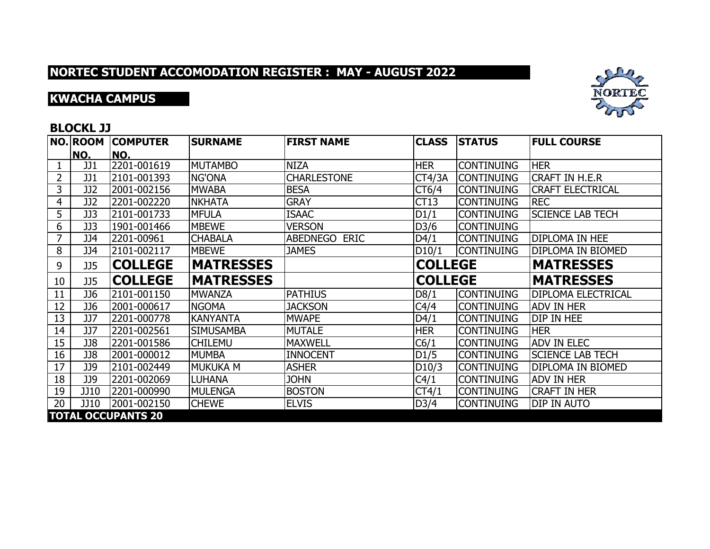# **KWACHA CAMPUS**



### **BLOCKL JJ**

|                | <b>NO. ROOM</b> | <b>COMPUTER</b>           | <b>SURNAME</b>   | <b>FIRST NAME</b>       | <b>CLASS</b>   | <b>STATUS</b>     | <b>FULL COURSE</b>        |
|----------------|-----------------|---------------------------|------------------|-------------------------|----------------|-------------------|---------------------------|
|                | NO.             | NO.                       |                  |                         |                |                   |                           |
|                | JJ1             | 2201-001619               | <b>MUTAMBO</b>   | <b>NIZA</b>             | <b>HER</b>     | <b>CONTINUING</b> | <b>HER</b>                |
| $\overline{2}$ | JJ1             | 2101-001393               | <b>NG'ONA</b>    | <b>CHARLESTONE</b>      | CT4/3A         | <b>CONTINUING</b> | <b>CRAFT IN H.E.R</b>     |
| 3              | JJ2             | 2001-002156               | <b>MWABA</b>     | <b>BESA</b>             | CT6/4          | <b>CONTINUING</b> | <b>CRAFT ELECTRICAL</b>   |
| 4              | JJ2             | 2201-002220               | <b>NKHATA</b>    | <b>GRAY</b>             | CT13           | <b>CONTINUING</b> | <b>REC</b>                |
| 5              | JJ3             | 2101-001733               | <b>MFULA</b>     | <b>ISAAC</b>            | D1/1           | <b>CONTINUING</b> | <b>SCIENCE LAB TECH</b>   |
| 6              | JJ3             | 1901-001466               | <b>MBEWE</b>     | <b>VERSON</b>           | D3/6           | <b>CONTINUING</b> |                           |
|                | JJ4             | 2201-00961                | <b>CHABALA</b>   | ABEDNEGO<br><b>ERIC</b> | D4/1           | <b>CONTINUING</b> | <b>DIPLOMA IN HEE</b>     |
| 8              | JJ4             | 2101-002117               | <b>MBEWE</b>     | <b>JAMES</b>            | D10/1          | <b>CONTINUING</b> | DIPLOMA IN BIOMED         |
| 9              | <b>JJ5</b>      | <b>COLLEGE</b>            | <b>MATRESSES</b> |                         | <b>COLLEGE</b> |                   | <b>MATRESSES</b>          |
| 10             | <b>JJ5</b>      | <b>COLLEGE</b>            | <b>MATRESSES</b> |                         | <b>COLLEGE</b> |                   | <b>MATRESSES</b>          |
| 11             | JJ6             | 2101-001150               | <b>MWANZA</b>    | <b>PATHIUS</b>          | D8/1           | <b>CONTINUING</b> | <b>DIPLOMA ELECTRICAL</b> |
| 12             | JJ6             | 2001-000617               | <b>NGOMA</b>     | <b>JACKSON</b>          | C4/4           | <b>CONTINUING</b> | <b>ADV IN HER</b>         |
| 13             | <b>JJ7</b>      | 2201-000778               | <b>KANYANTA</b>  | <b>MWAPE</b>            | D4/1           | <b>CONTINUING</b> | DIP IN HEE                |
| 14             | JJ7             | 2201-002561               | <b>SIMUSAMBA</b> | <b>MUTALE</b>           | <b>HER</b>     | <b>CONTINUING</b> | <b>HER</b>                |
| 15             | JJ8             | 2201-001586               | <b>CHILEMU</b>   | <b>MAXWELL</b>          | C6/1           | <b>CONTINUING</b> | <b>ADV IN ELEC</b>        |
| 16             | JJ8             | 2001-000012               | <b>MUMBA</b>     | <b>INNOCENT</b>         | D1/5           | <b>CONTINUING</b> | <b>SCIENCE LAB TECH</b>   |
| 17             | JJ9             | 2101-002449               | <b>MUKUKA M</b>  | <b>ASHER</b>            | D10/3          | <b>CONTINUING</b> | DIPLOMA IN BIOMED         |
| 18             | JJ9             | 2201-002069               | <b>LUHANA</b>    | <b>JOHN</b>             | C4/1           | <b>CONTINUING</b> | <b>ADV IN HER</b>         |
| 19             | JJ10            | 2201-000990               | MULENGA          | <b>BOSTON</b>           | CT4/1          | <b>CONTINUING</b> | <b>CRAFT IN HER</b>       |
| 20             | JJ10            | 2001-002150               | <b>CHEWE</b>     | <b>ELVIS</b>            | D3/4           | <b>CONTINUING</b> | DIP IN AUTO               |
|                |                 | <b>TOTAL OCCUPANTS 20</b> |                  |                         |                |                   |                           |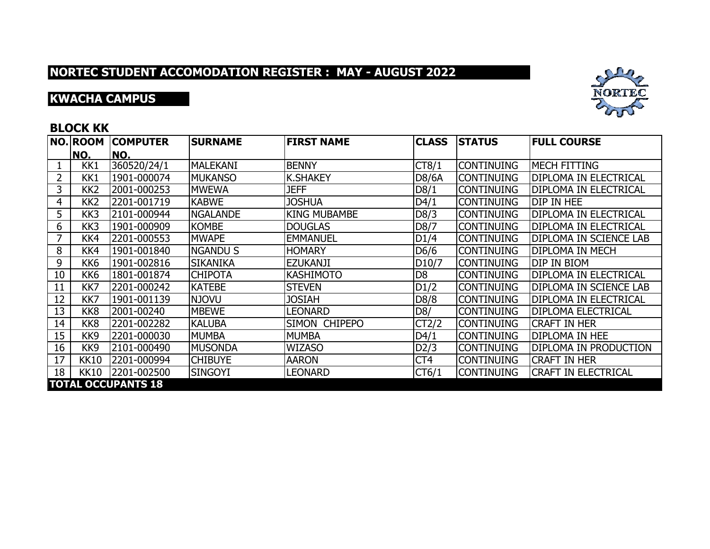## **KWACHA CAMPUS**



### **BLOCK KK**

|    | <b>NO.ROOM</b>  | <b>COMPUTER</b>           | <b>SURNAME</b>  | <b>FIRST NAME</b>   | <b>CLASS</b>       | <b>STATUS</b>     | <b>FULL COURSE</b>            |
|----|-----------------|---------------------------|-----------------|---------------------|--------------------|-------------------|-------------------------------|
|    | NO.             | NO.                       |                 |                     |                    |                   |                               |
|    | KK1             | 360520/24/1               | <b>MALEKANI</b> | <b>BENNY</b>        | CT8/1              | <b>CONTINUING</b> | <b>MECH FITTING</b>           |
|    | KK1             | 1901-000074               | <b>MUKANSO</b>  | <b>K.SHAKEY</b>     | D8/6A              | <b>CONTINUING</b> | <b>DIPLOMA IN ELECTRICAL</b>  |
| 3  | KK <sub>2</sub> | 2001-000253               | <b>MWEWA</b>    | <b>JEFF</b>         | D8/1               | <b>CONTINUING</b> | <b>DIPLOMA IN ELECTRICAL</b>  |
| 4  | KK <sub>2</sub> | 2201-001719               | <b>KABWE</b>    | <b>JOSHUA</b>       | D4/1               | <b>CONTINUING</b> | <b>DIP IN HEE</b>             |
| 5  | KK3             | 2101-000944               | NGALANDE        | <b>KING MUBAMBE</b> | D8/3               | <b>CONTINUING</b> | <b>DIPLOMA IN ELECTRICAL</b>  |
| 6  | KK3             | 1901-000909               | <b>KOMBE</b>    | <b>DOUGLAS</b>      | D8/7               | <b>CONTINUING</b> | <b>DIPLOMA IN ELECTRICAL</b>  |
|    | KK4             | 2201-000553               | <b>MWAPE</b>    | <b>EMMANUEL</b>     | DI/4               | <b>CONTINUING</b> | <b>DIPLOMA IN SCIENCE LAB</b> |
| 8  | KK4             | 1901-001840               | <b>NGANDU S</b> | <b>HOMARY</b>       | D6/6               | <b>CONTINUING</b> | <b>DIPLOMA IN MECH</b>        |
| 9  | KK <sub>6</sub> | 1901-002816               | <b>SIKANIKA</b> | <b>EZUKANJI</b>     | D <sub>10</sub> /7 | <b>CONTINUING</b> | <b>DIP IN BIOM</b>            |
| 10 | KK <sub>6</sub> | 1801-001874               | <b>CHIPOTA</b>  | <b>KASHIMOTO</b>    | D <sub>8</sub>     | <b>CONTINUING</b> | <b>DIPLOMA IN ELECTRICAL</b>  |
| 11 | KK7             | 2201-000242               | <b>KATEBE</b>   | <b>STEVEN</b>       | D1/2               | <b>CONTINUING</b> | <b>DIPLOMA IN SCIENCE LAB</b> |
| 12 | KK7             | 1901-001139               | <b>NJOVU</b>    | <b>JOSIAH</b>       | D8/8               | <b>CONTINUING</b> | <b>DIPLOMA IN ELECTRICAL</b>  |
| 13 | KK8             | 2001-00240                | <b>MBEWE</b>    | <b>LEONARD</b>      | D8/                | <b>CONTINUING</b> | <b>DIPLOMA ELECTRICAL</b>     |
| 14 | KK <sub>8</sub> | 2201-002282               | <b>KALUBA</b>   | SIMON CHIPEPO       | CT2/2              | <b>CONTINUING</b> | <b>CRAFT IN HER</b>           |
| 15 | KK9             | 2201-000030               | <b>MUMBA</b>    | <b>MUMBA</b>        | D4/1               | <b>CONTINUING</b> | <b>DIPLOMA IN HEE</b>         |
| 16 | KK <sub>9</sub> | 2101-000490               | MUSONDA         | <b>WIZASO</b>       | D2/3               | <b>CONTINUING</b> | <b>DIPLOMA IN PRODUCTION</b>  |
| 17 | <b>KK10</b>     | 2201-000994               | <b>CHIBUYE</b>  | <b>AARON</b>        | CT4                | <b>CONTINUING</b> | <b>CRAFT IN HER</b>           |
| 18 | <b>KK10</b>     | 2201-002500               | <b>SINGOYI</b>  | <b>LEONARD</b>      | CT6/1              | <b>CONTINUING</b> | <b>CRAFT IN ELECTRICAL</b>    |
|    |                 | <b>TOTAL OCCUPANTS 18</b> |                 |                     |                    |                   |                               |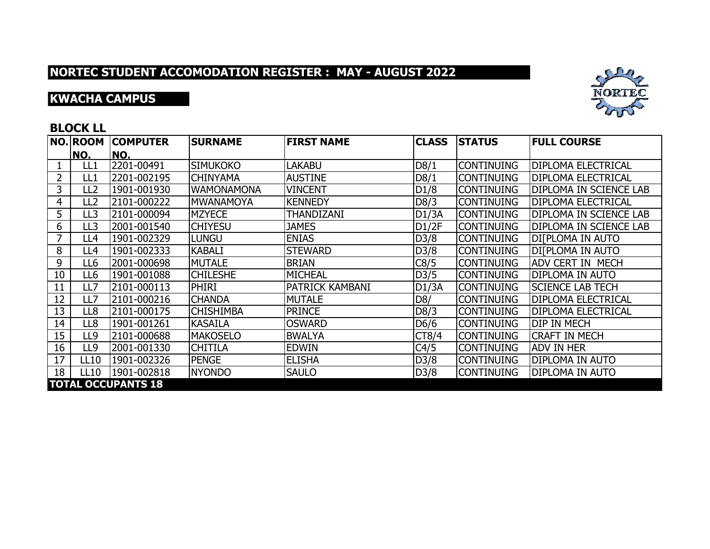# **KWACHA CAMPUS**



### **BLOCK LL**

|    | <b>NO.ROOM</b>            | <b>COMPUTER</b> | <b>SURNAME</b>    | <b>FIRST NAME</b>      | <b>CLASS</b> | <b>STATUS</b>     | <b>FULL COURSE</b>        |  |  |  |  |
|----|---------------------------|-----------------|-------------------|------------------------|--------------|-------------------|---------------------------|--|--|--|--|
|    | NO.                       | NO.             |                   |                        |              |                   |                           |  |  |  |  |
|    | LL1                       | 2201-00491      | <b>SIMUKOKO</b>   | <b>LAKABU</b>          | D8/1         | <b>CONTINUING</b> | <b>DIPLOMA ELECTRICAL</b> |  |  |  |  |
|    | LL1                       | 2201-002195     | <b>CHINYAMA</b>   | <b>AUSTINE</b>         | D8/1         | <b>CONTINUING</b> | <b>DIPLOMA ELECTRICAL</b> |  |  |  |  |
| 3  | LL2                       | 1901-001930     | <b>WAMONAMONA</b> | <b>VINCENT</b>         | D1/8         | <b>CONTINUING</b> | DIPLOMA IN SCIENCE LAB    |  |  |  |  |
| 4  | LL2                       | 2101-000222     | <b>MWANAMOYA</b>  | <b>KENNEDY</b>         | D8/3         | <b>CONTINUING</b> | <b>DIPLOMA ELECTRICAL</b> |  |  |  |  |
| 5  | LL3                       | 2101-000094     | <b>MZYECE</b>     | THANDIZANI             | D1/3A        | <b>CONTINUING</b> | DIPLOMA IN SCIENCE LAB    |  |  |  |  |
| 6  | LL3                       | 2001-001540     | <b>CHIYESU</b>    | <b>JAMES</b>           | D1/2F        | <b>CONTINUING</b> | DIPLOMA IN SCIENCE LAB    |  |  |  |  |
| 7  | LL4                       | 1901-002329     | <b>LUNGU</b>      | <b>ENIAS</b>           | D3/8         | <b>CONTINUING</b> | DI[PLOMA IN AUTO          |  |  |  |  |
| 8  | LL4                       | 1901-002333     | <b>KABALI</b>     | <b>STEWARD</b>         | D3/8         | <b>CONTINUING</b> | <b>DIFPLOMA IN AUTO</b>   |  |  |  |  |
| 9  | LL6                       | 2001-000698     | MUTALE            | <b>BRIAN</b>           | C8/5         | <b>CONTINUING</b> | <b>ADV CERT IN MECH</b>   |  |  |  |  |
| 10 | LL6                       | 1901-001088     | <b>CHILESHE</b>   | <b>MICHEAL</b>         | D3/5         | <b>CONTINUING</b> | <b>DIPLOMA IN AUTO</b>    |  |  |  |  |
| 11 | LL7                       | 2101-000113     | <b>PHIRI</b>      | <b>PATRICK KAMBANI</b> | D1/3A        | <b>CONTINUING</b> | <b>SCIENCE LAB TECH</b>   |  |  |  |  |
| 12 | LL7                       | 2101-000216     | <b>CHANDA</b>     | <b>MUTALE</b>          | D8/          | <b>CONTINUING</b> | <b>DIPLOMA ELECTRICAL</b> |  |  |  |  |
| 13 | LL8                       | 2101-000175     | <b>CHISHIMBA</b>  | <b>PRINCE</b>          | D8/3         | <b>CONTINUING</b> | <b>DIPLOMA ELECTRICAL</b> |  |  |  |  |
| 14 | LL8                       | 1901-001261     | <b>KASAILA</b>    | <b>OSWARD</b>          | D6/6         | <b>CONTINUING</b> | <b>DIP IN MECH</b>        |  |  |  |  |
| 15 | LL9                       | 2101-000688     | <b>MAKOSELO</b>   | <b>BWALYA</b>          | CT8/4        | <b>CONTINUING</b> | <b>CRAFT IN MECH</b>      |  |  |  |  |
| 16 | LL9                       | 2001-001330     | <b>CHITILA</b>    | <b>EDWIN</b>           | C4/5         | <b>CONTINUING</b> | <b>ADV IN HER</b>         |  |  |  |  |
| 17 | <b>LL10</b>               | 1901-002326     | <b>PENGE</b>      | <b>ELISHA</b>          | D3/8         | <b>CONTINUING</b> | <b>DIPLOMA IN AUTO</b>    |  |  |  |  |
| 18 | <b>LL10</b>               | 1901-002818     | <b>NYONDO</b>     | <b>SAULO</b>           | D3/8         | <b>CONTINUING</b> | DIPLOMA IN AUTO           |  |  |  |  |
|    | <b>TOTAL OCCUPANTS 18</b> |                 |                   |                        |              |                   |                           |  |  |  |  |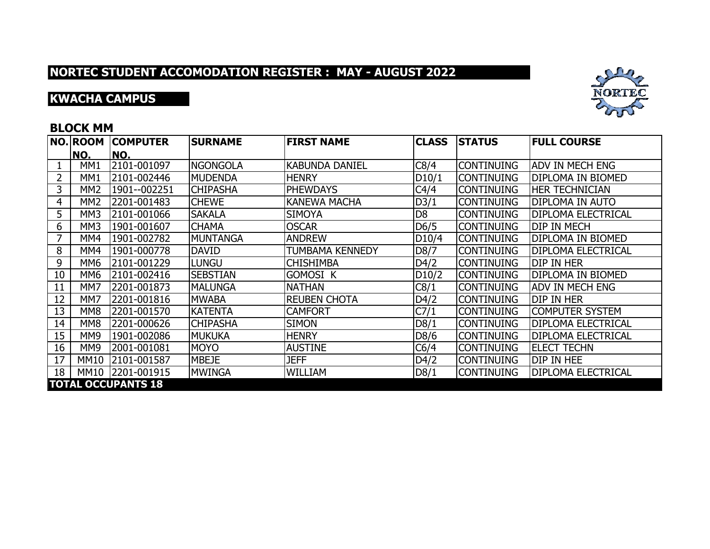## **KWACHA CAMPUS**



#### **BLOCK MM**

|    | <b>NO. ROOM</b> | <b>COMPUTER</b>           | <b>SURNAME</b>  | <b>FIRST NAME</b>      | <b>CLASS</b>       | <b>STATUS</b>     | <b>FULL COURSE</b>        |
|----|-----------------|---------------------------|-----------------|------------------------|--------------------|-------------------|---------------------------|
|    | NO.             | NO.                       |                 |                        |                    |                   |                           |
|    | MM1             | 2101-001097               | <b>NGONGOLA</b> | <b>KABUNDA DANIEL</b>  | C8/4               | <b>CONTINUING</b> | ADV IN MECH ENG           |
| 2  | MM <sub>1</sub> | 2101-002446               | IMUDENDA        | <b>HENRY</b>           | D10/1              | <b>CONTINUING</b> | <b>DIPLOMA IN BIOMED</b>  |
| 3  | MM <sub>2</sub> | 1901--002251              | <b>CHIPASHA</b> | <b>PHEWDAYS</b>        | C4/4               | <b>CONTINUING</b> | <b>HER TECHNICIAN</b>     |
| 4  | MM <sub>2</sub> | 2201-001483               | <b>CHEWE</b>    | <b>KANEWA MACHA</b>    | D3/1               | <b>CONTINUING</b> | <b>DIPLOMA IN AUTO</b>    |
| 5  | MM3             | 2101-001066               | <b>SAKALA</b>   | <b>SIMOYA</b>          | D <sub>8</sub>     | <b>CONTINUING</b> | <b>DIPLOMA ELECTRICAL</b> |
| 6  | MM3             | 1901-001607               | <b>CHAMA</b>    | <b>OSCAR</b>           | D6/5               | <b>CONTINUING</b> | <b>DIP IN MECH</b>        |
| 7  | MM4             | 1901-002782               | IMUNTANGA       | <b>ANDREW</b>          | D <sub>10</sub> /4 | <b>CONTINUING</b> | <b>DIPLOMA IN BIOMED</b>  |
| 8  | MM4             | 1901-000778               | <b>DAVID</b>    | <b>TUMBAMA KENNEDY</b> | D8/7               | <b>CONTINUING</b> | <b>DIPLOMA ELECTRICAL</b> |
| 9  | MM6             | 2101-001229               | <b>LUNGU</b>    | <b>CHISHIMBA</b>       | D4/2               | <b>CONTINUING</b> | DIP IN HER                |
| 10 | MM6             | 2101-002416               | <b>SEBSTIAN</b> | <b>GOMOSI K</b>        | D10/2              | <b>CONTINUING</b> | <b>DIPLOMA IN BIOMED</b>  |
| 11 | MM7             | 2201-001873               | <b>IMALUNGA</b> | <b>NATHAN</b>          | C8/1               | <b>CONTINUING</b> | <b>ADV IN MECH ENG</b>    |
| 12 | MM7             | 2201-001816               | <b>MWABA</b>    | <b>REUBEN CHOTA</b>    | D4/2               | <b>CONTINUING</b> | DIP IN HER                |
| 13 | MM <sub>8</sub> | 2201-001570               | <b>KATENTA</b>  | <b>CAMFORT</b>         | C7/1               | <b>CONTINUING</b> | <b>COMPUTER SYSTEM</b>    |
| 14 | MM <sub>8</sub> | 2201-000626               | <b>CHIPASHA</b> | <b>SIMON</b>           | D8/1               | <b>CONTINUING</b> | <b>DIPLOMA ELECTRICAL</b> |
| 15 | MM9             | 1901-002086               | <b>MUKUKA</b>   | <b>HENRY</b>           | D8/6               | <b>CONTINUING</b> | <b>DIPLOMA ELECTRICAL</b> |
| 16 | MM <sub>9</sub> | 2001-001081               | <b>MOYO</b>     | <b>AUSTINE</b>         | C6/4               | <b>CONTINUING</b> | <b>IELECT TECHN</b>       |
| 17 | <b>MM10</b>     | 2101-001587               | <b>MBEJE</b>    | <b>JEFF</b>            | D4/2               | <b>CONTINUING</b> | DIP IN HEE                |
| 18 | MM10            | 2201-001915               | <b>MWINGA</b>   | <b>WILLIAM</b>         | D8/1               | <b>CONTINUING</b> | <b>DIPLOMA ELECTRICAL</b> |
|    |                 | <b>TOTAL OCCUPANTS 18</b> |                 |                        |                    |                   |                           |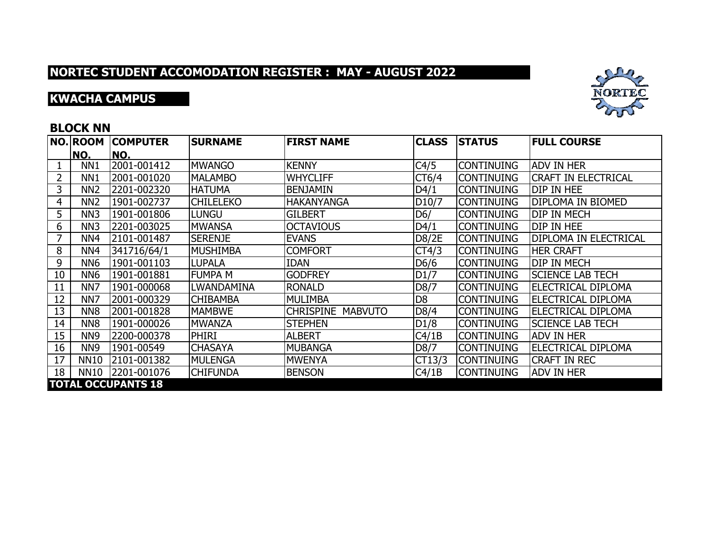## **KWACHA CAMPUS**



### **BLOCK NN**

|    | <b>NO. ROOM</b>           | <b>COMPUTER</b> | <b>SURNAME</b>   | <b>FIRST NAME</b>                  | <b>CLASS</b>       | <b>STATUS</b>     | <b>FULL COURSE</b>           |  |  |  |
|----|---------------------------|-----------------|------------------|------------------------------------|--------------------|-------------------|------------------------------|--|--|--|
|    | NO.                       | NO.             |                  |                                    |                    |                   |                              |  |  |  |
|    | NN <sub>1</sub>           | 2001-001412     | <b>MWANGO</b>    | <b>KENNY</b>                       | C4/5               | <b>CONTINUING</b> | <b>ADV IN HER</b>            |  |  |  |
| 2  | NN <sub>1</sub>           | 2001-001020     | <b>MALAMBO</b>   | <b>WHYCLIFF</b>                    | CT6/4              | <b>CONTINUING</b> | <b>CRAFT IN ELECTRICAL</b>   |  |  |  |
| 3  | NN <sub>2</sub>           | 2201-002320     | <b>HATUMA</b>    | <b>BENJAMIN</b>                    | D4/1               | <b>CONTINUING</b> | DIP IN HEE                   |  |  |  |
| 4  | NN <sub>2</sub>           | 1901-002737     | <b>CHILELEKO</b> | <b>HAKANYANGA</b>                  | D <sub>10</sub> /7 | <b>CONTINUING</b> | DIPLOMA IN BIOMED            |  |  |  |
| 5  | NN <sub>3</sub>           | 1901-001806     | <b>LUNGU</b>     | <b>GILBERT</b>                     | D6/                | <b>CONTINUING</b> | <b>DIP IN MECH</b>           |  |  |  |
| 6  | NN <sub>3</sub>           | 2201-003025     | <b>MWANSA</b>    | <b>OCTAVIOUS</b>                   | D4/1               | <b>CONTINUING</b> | DIP IN HEE                   |  |  |  |
| 7  | NN <sub>4</sub>           | 2101-001487     | <b>SERENJE</b>   | <b>EVANS</b>                       | D8/2E              | <b>CONTINUING</b> | <b>DIPLOMA IN ELECTRICAL</b> |  |  |  |
| 8  | NN <sub>4</sub>           | 341716/64/1     | <b>MUSHIMBA</b>  | <b>COMFORT</b>                     | CT4/3              | <b>CONTINUING</b> | <b>HER CRAFT</b>             |  |  |  |
| 9  | NN <sub>6</sub>           | 1901-001103     | <b>LUPALA</b>    | <b>IDAN</b>                        | D6/6               | <b>CONTINUING</b> | <b>DIP IN MECH</b>           |  |  |  |
| 10 | NN <sub>6</sub>           | 1901-001881     | <b>FUMPA M</b>   | <b>GODFREY</b>                     | D1/7               | <b>CONTINUING</b> | <b>SCIENCE LAB TECH</b>      |  |  |  |
| 11 | NN7                       | 1901-000068     | LWANDAMINA       | <b>RONALD</b>                      | D8/7               | <b>CONTINUING</b> | ELECTRICAL DIPLOMA           |  |  |  |
| 12 | NN <sub>7</sub>           | 2001-000329     | <b>CHIBAMBA</b>  | <b>MULIMBA</b>                     | D <sub>8</sub>     | <b>CONTINUING</b> | <b>ELECTRICAL DIPLOMA</b>    |  |  |  |
| 13 | NN <sub>8</sub>           | 2001-001828     | <b>MAMBWE</b>    | <b>CHRISPINE</b><br><b>MABVUTO</b> | D8/4               | <b>CONTINUING</b> | <b>ELECTRICAL DIPLOMA</b>    |  |  |  |
| 14 | NN <sub>8</sub>           | 1901-000026     | <b>MWANZA</b>    | <b>STEPHEN</b>                     | D1/8               | <b>CONTINUING</b> | <b>SCIENCE LAB TECH</b>      |  |  |  |
| 15 | NN <sub>9</sub>           | 2200-000378     | <b>PHIRI</b>     | <b>ALBERT</b>                      | C4/1B              | <b>CONTINUING</b> | <b>ADV IN HER</b>            |  |  |  |
| 16 | NN <sub>9</sub>           | 1901-00549      | <b>CHASAYA</b>   | MUBANGA                            | D8/7               | <b>CONTINUING</b> | IELECTRICAL DIPLOMA          |  |  |  |
| 17 | <b>NN10</b>               | 2101-001382     | MULENGA          | <b>MWENYA</b>                      | CT13/3             | <b>CONTINUING</b> | <b>CRAFT IN REC</b>          |  |  |  |
| 18 | <b>NN10</b>               | 2201-001076     | <b>CHIFUNDA</b>  | <b>BENSON</b>                      | C4/1B              | <b>CONTINUING</b> | <b>ADV IN HER</b>            |  |  |  |
|    | <b>TOTAL OCCUPANTS 18</b> |                 |                  |                                    |                    |                   |                              |  |  |  |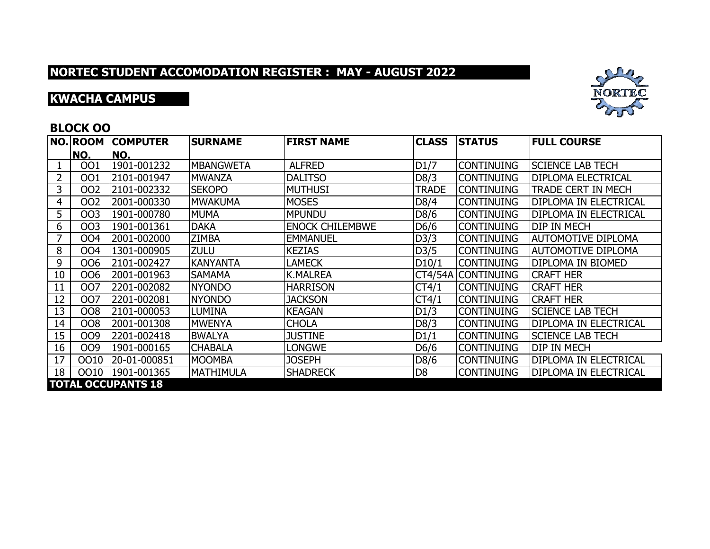## **KWACHA CAMPUS**



### **BLOCK OO**

|    | <b>NO.ROOM</b>            | <b>COMPUTER</b> | <b>SURNAME</b>   | <b>FIRST NAME</b>      | <b>CLASS</b>   | <b>STATUS</b>      | <b>FULL COURSE</b>           |  |  |
|----|---------------------------|-----------------|------------------|------------------------|----------------|--------------------|------------------------------|--|--|
|    | NO.                       | NO.             |                  |                        |                |                    |                              |  |  |
|    | 001                       | 1901-001232     | <b>MBANGWETA</b> | <b>ALFRED</b>          | D1/7           | <b>CONTINUING</b>  | <b>SCIENCE LAB TECH</b>      |  |  |
|    | 001                       | 2101-001947     | <b>MWANZA</b>    | <b>DALITSO</b>         | D8/3           | <b>CONTINUING</b>  | <b>DIPLOMA ELECTRICAL</b>    |  |  |
| 3  | 002                       | 2101-002332     | <b>SEKOPO</b>    | <b>MUTHUSI</b>         | TRADE          | <b>CONTINUING</b>  | <b>TRADE CERT IN MECH</b>    |  |  |
| 4  | <b>OO2</b>                | 2001-000330     | <b>MWAKUMA</b>   | <b>MOSES</b>           | D8/4           | <b>CONTINUING</b>  | <b>DIPLOMA IN ELECTRICAL</b> |  |  |
| 5  | 003                       | 1901-000780     | <b>MUMA</b>      | <b>MPUNDU</b>          | D8/6           | <b>CONTINUING</b>  | <b>DIPLOMA IN ELECTRICAL</b> |  |  |
| 6  | 003                       | 1901-001361     | <b>DAKA</b>      | <b>ENOCK CHILEMBWE</b> | D6/6           | <b>CONTINUING</b>  | <b>DIP IN MECH</b>           |  |  |
|    | <b>OO4</b>                | 2001-002000     | <b>ZIMBA</b>     | <b>EMMANUEL</b>        | D3/3           | <b>CONTINUING</b>  | <b>AUTOMOTIVE DIPLOMA</b>    |  |  |
| 8  | <b>OO4</b>                | 1301-000905     | ZULU             | <b>KEZIAS</b>          | D3/5           | <b>CONTINUING</b>  | <b>AUTOMOTIVE DIPLOMA</b>    |  |  |
| 9  | OO6                       | 2101-002427     | <b>KANYANTA</b>  | <b>LAMECK</b>          | D10/1          | <b>CONTINUING</b>  | <b>DIPLOMA IN BIOMED</b>     |  |  |
| 10 | <b>OO6</b>                | 2001-001963     | <b>SAMAMA</b>    | <b>K.MALREA</b>        |                | CT4/54A CONTINUING | <b>CRAFT HER</b>             |  |  |
| 11 | 007                       | 2201-002082     | <b>NYONDO</b>    | <b>HARRISON</b>        | CT4/1          | <b>CONTINUING</b>  | <b>CRAFT HER</b>             |  |  |
| 12 | 007                       | 2201-002081     | <b>NYONDO</b>    | <b>JACKSON</b>         | CT4/1          | <b>CONTINUING</b>  | <b>CRAFT HER</b>             |  |  |
| 13 | <b>OO8</b>                | 2101-000053     | <b>LUMINA</b>    | <b>KEAGAN</b>          | D1/3           | <b>CONTINUING</b>  | <b>SCIENCE LAB TECH</b>      |  |  |
| 14 | <b>OO8</b>                | 2001-001308     | <b>MWENYA</b>    | <b>CHOLA</b>           | D8/3           | <b>CONTINUING</b>  | <b>DIPLOMA IN ELECTRICAL</b> |  |  |
| 15 | OO9                       | 2201-002418     | <b>BWALYA</b>    | <b>JUSTINE</b>         | D1/1           | <b>CONTINUING</b>  | <b>SCIENCE LAB TECH</b>      |  |  |
| 16 | OO9                       | 1901-000165     | <b>CHABALA</b>   | <b>LONGWE</b>          | D6/6           | <b>CONTINUING</b>  | <b>DIP IN MECH</b>           |  |  |
| 17 | 0010                      | 20-01-000851    | <b>MOOMBA</b>    | <b>JOSEPH</b>          | D8/6           | <b>CONTINUING</b>  | <b>DIPLOMA IN ELECTRICAL</b> |  |  |
| 18 | 0010                      | 1901-001365     | MATHIMULA        | <b>SHADRECK</b>        | D <sub>8</sub> | <b>CONTINUING</b>  | DIPLOMA IN ELECTRICAL        |  |  |
|    | <b>TOTAL OCCUPANTS 18</b> |                 |                  |                        |                |                    |                              |  |  |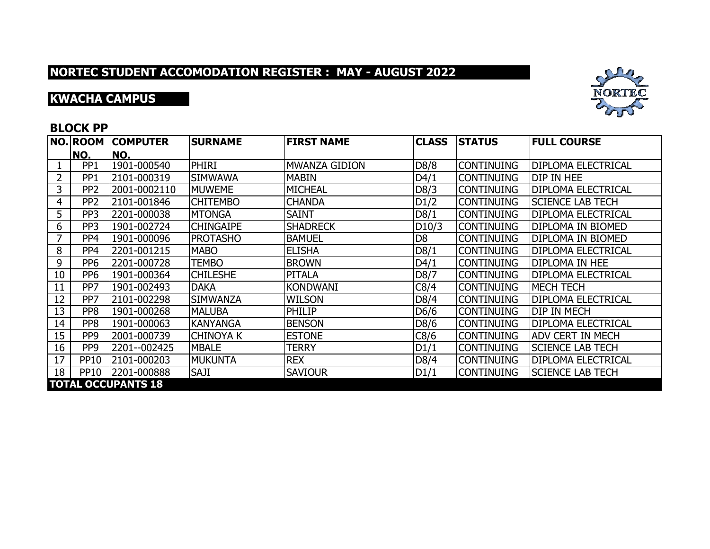## **KWACHA CAMPUS**



### **BLOCK PP**

|    | NO. ROOM                  | <b>COMPUTER</b> | <b>SURNAME</b>   | <b>FIRST NAME</b> | <b>CLASS</b>   | <b>STATUS</b>     | <b>FULL COURSE</b>        |  |  |
|----|---------------------------|-----------------|------------------|-------------------|----------------|-------------------|---------------------------|--|--|
|    | NO.                       | NO.             |                  |                   |                |                   |                           |  |  |
|    | PP <sub>1</sub>           | 1901-000540     | <b>PHIRI</b>     | MWANZA GIDION     | D8/8           | <b>CONTINUING</b> | <b>DIPLOMA ELECTRICAL</b> |  |  |
| 2  | PP <sub>1</sub>           | 2101-000319     | <b>SIMWAWA</b>   | <b>MABIN</b>      | D4/1           | <b>CONTINUING</b> | DIP IN HEE                |  |  |
| 3  | PP <sub>2</sub>           | 2001-0002110    | <b>MUWEME</b>    | <b>MICHEAL</b>    | D8/3           | <b>CONTINUING</b> | <b>DIPLOMA ELECTRICAL</b> |  |  |
| 4  | PP <sub>2</sub>           | 2101-001846     | <b>CHITEMBO</b>  | <b>CHANDA</b>     | D1/2           | <b>CONTINUING</b> | <b>SCIENCE LAB TECH</b>   |  |  |
| 5  | PP <sub>3</sub>           | 2201-000038     | <b>MTONGA</b>    | <b>SAINT</b>      | D8/1           | <b>CONTINUING</b> | <b>DIPLOMA ELECTRICAL</b> |  |  |
| 6  | PP <sub>3</sub>           | 1901-002724     | <b>CHINGAIPE</b> | <b>SHADRECK</b>   | D10/3          | <b>CONTINUING</b> | <b>DIPLOMA IN BIOMED</b>  |  |  |
| 7  | PP4                       | 1901-000096     | <b>PROTASHO</b>  | <b>BAMUEL</b>     | D <sub>8</sub> | <b>CONTINUING</b> | IDIPLOMA IN BIOMED        |  |  |
| 8  | PP <sub>4</sub>           | 2201-001215     | <b>MABO</b>      | <b>ELISHA</b>     | D8/1           | <b>CONTINUING</b> | <b>DIPLOMA ELECTRICAL</b> |  |  |
| 9  | PP <sub>6</sub>           | 2201-000728     | <b>TEMBO</b>     | <b>BROWN</b>      | D4/1           | <b>CONTINUING</b> | <b>DIPLOMA IN HEE</b>     |  |  |
| 10 | PP <sub>6</sub>           | 1901-000364     | <b>CHILESHE</b>  | <b>PITALA</b>     | D8/7           | <b>CONTINUING</b> | <b>DIPLOMA ELECTRICAL</b> |  |  |
| 11 | PP7                       | 1901-002493     | <b>DAKA</b>      | <b>KONDWANI</b>   | C8/4           | <b>CONTINUING</b> | <b>MECH TECH</b>          |  |  |
| 12 | PP7                       | 2101-002298     | <b>SIMWANZA</b>  | <b>WILSON</b>     | D8/4           | <b>CONTINUING</b> | <b>DIPLOMA ELECTRICAL</b> |  |  |
| 13 | PP <sub>8</sub>           | 1901-000268     | <b>MALUBA</b>    | <b>PHILIP</b>     | D6/6           | <b>CONTINUING</b> | <b>DIP IN MECH</b>        |  |  |
| 14 | PP <sub>8</sub>           | 1901-000063     | <b>KANYANGA</b>  | <b>BENSON</b>     | D8/6           | <b>CONTINUING</b> | <b>DIPLOMA ELECTRICAL</b> |  |  |
| 15 | PP <sub>9</sub>           | 2001-000739     | <b>CHINOYA K</b> | <b>ESTONE</b>     | C8/6           | <b>CONTINUING</b> | <b>ADV CERT IN MECH</b>   |  |  |
| 16 | PP <sub>9</sub>           | 2201--002425    | <b>MBALE</b>     | <b>TERRY</b>      | D1/1           | <b>CONTINUING</b> | <b>SCIENCE LAB TECH</b>   |  |  |
| 17 | <b>PP10</b>               | 2101-000203     | <b>MUKUNTA</b>   | <b>REX</b>        | D8/4           | <b>CONTINUING</b> | <b>DIPLOMA ELECTRICAL</b> |  |  |
| 18 | <b>PP10</b>               | 2201-000888     | <b>SAJI</b>      | <b>SAVIOUR</b>    | D1/1           | <b>CONTINUING</b> | <b>SCIENCE LAB TECH</b>   |  |  |
|    | <b>TOTAL OCCUPANTS 18</b> |                 |                  |                   |                |                   |                           |  |  |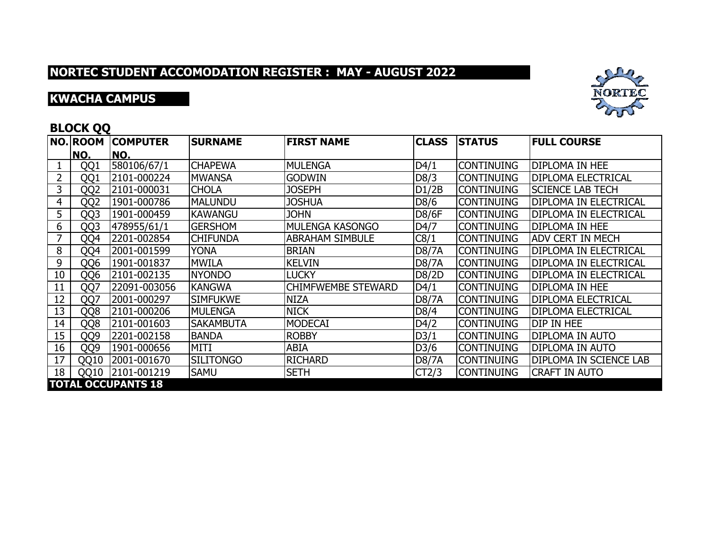## **KWACHA CAMPUS**



### **BLOCK QQ**

|    | NO. ROOM        | <b>COMPUTER</b>           | <b>SURNAME</b>   | <b>FIRST NAME</b>         | <b>CLASS</b> | <b>STATUS</b>     | <b>FULL COURSE</b>            |
|----|-----------------|---------------------------|------------------|---------------------------|--------------|-------------------|-------------------------------|
|    | NO.             | NO.                       |                  |                           |              |                   |                               |
|    | QQ1             | 580106/67/1               | <b>CHAPEWA</b>   | <b>MULENGA</b>            | D4/1         | <b>CONTINUING</b> | <b>DIPLOMA IN HEE</b>         |
| 2  | QQ1             | 2101-000224               | <b>MWANSA</b>    | <b>GODWIN</b>             | D8/3         | <b>CONTINUING</b> | <b>DIPLOMA ELECTRICAL</b>     |
| 3  | QQ <sub>2</sub> | 2101-000031               | <b>CHOLA</b>     | <b>JOSEPH</b>             | D1/2B        | <b>CONTINUING</b> | <b>SCIENCE LAB TECH</b>       |
| 4  | QQ <sub>2</sub> | 1901-000786               | <b>MALUNDU</b>   | <b>JOSHUA</b>             | D8/6         | <b>CONTINUING</b> | <b>DIPLOMA IN ELECTRICAL</b>  |
| 5  | QQ3             | 1901-000459               | <b>KAWANGU</b>   | <b>JOHN</b>               | <b>D8/6F</b> | <b>CONTINUING</b> | <b>DIPLOMA IN ELECTRICAL</b>  |
| 6  | QQ3             | 478955/61/1               | <b>GERSHOM</b>   | <b>MULENGA KASONGO</b>    | D4/7         | <b>CONTINUING</b> | <b>DIPLOMA IN HEE</b>         |
| 7  | QQ4             | 2201-002854               | <b>CHIFUNDA</b>  | <b>ABRAHAM SIMBULE</b>    | C8/1         | <b>CONTINUING</b> | <b>ADV CERT IN MECH</b>       |
| 8  | QQ4             | 2001-001599               | YONA             | <b>BRIAN</b>              | <b>D8/7A</b> | <b>CONTINUING</b> | <b>DIPLOMA IN ELECTRICAL</b>  |
| 9  | QQ6             | 1901-001837               | <b>MWILA</b>     | <b>KELVIN</b>             | <b>D8/7A</b> | <b>CONTINUING</b> | <b>DIPLOMA IN ELECTRICAL</b>  |
| 10 | QQ6             | 2101-002135               | <b>NYONDO</b>    | <b>LUCKY</b>              | D8/2D        | <b>CONTINUING</b> | <b>DIPLOMA IN ELECTRICAL</b>  |
| 11 | QQ7             | 22091-003056              | <b>KANGWA</b>    | <b>CHIMFWEMBE STEWARD</b> | D4/1         | <b>CONTINUING</b> | <b>DIPLOMA IN HEE</b>         |
| 12 | QQ7             | 2001-000297               | <b>SIMFUKWE</b>  | <b>NIZA</b>               | <b>D8/7A</b> | <b>CONTINUING</b> | <b>DIPLOMA ELECTRICAL</b>     |
| 13 | QQ8             | 2101-000206               | <b>MULENGA</b>   | <b>NICK</b>               | D8/4         | <b>CONTINUING</b> | <b>DIPLOMA ELECTRICAL</b>     |
| 14 | QQ8             | 2101-001603               | <b>SAKAMBUTA</b> | <b>MODECAI</b>            | D4/2         | <b>CONTINUING</b> | <b>DIP IN HEE</b>             |
| 15 | QQ9             | 2201-002158               | <b>BANDA</b>     | <b>ROBBY</b>              | D3/1         | <b>CONTINUING</b> | <b>DIPLOMA IN AUTO</b>        |
| 16 | QQ9             | 1901-000656               | <b>MITI</b>      | ABIA                      | D3/6         | <b>CONTINUING</b> | DIPLOMA IN AUTO               |
| 17 | QQ10            | 2001-001670               | <b>SILITONGO</b> | <b>RICHARD</b>            | <b>D8/7A</b> | <b>CONTINUING</b> | <b>DIPLOMA IN SCIENCE LAB</b> |
| 18 | QQ10            | 2101-001219               | <b>SAMU</b>      | <b>SETH</b>               | CT2/3        | <b>CONTINUING</b> | <b>CRAFT IN AUTO</b>          |
|    |                 | <b>TOTAL OCCUPANTS 18</b> |                  |                           |              |                   |                               |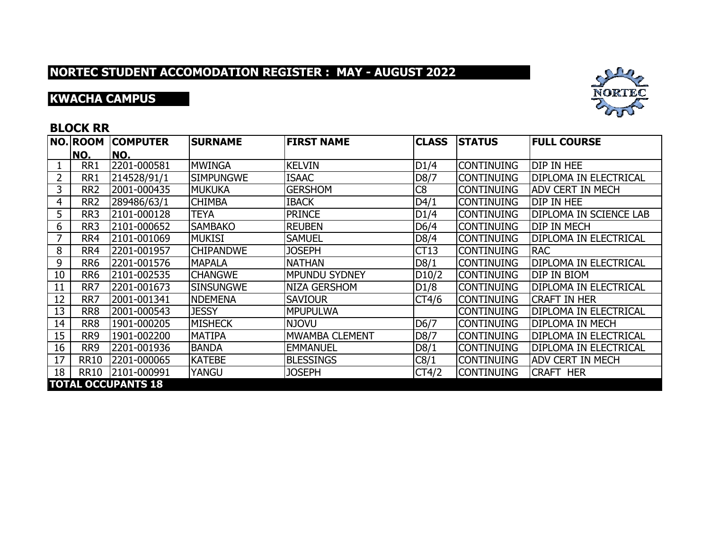## **KWACHA CAMPUS**



### **BLOCK RR**

|    | NO. ROOM                  | <b>COMPUTER</b> | <b>SURNAME</b>   | <b>FIRST NAME</b>    | <b>CLASS</b>       | <b>STATUS</b>      | <b>FULL COURSE</b>           |  |  |
|----|---------------------------|-----------------|------------------|----------------------|--------------------|--------------------|------------------------------|--|--|
|    | NO.                       | NO.             |                  |                      |                    |                    |                              |  |  |
|    | RR1                       | 2201-000581     | <b>MWINGA</b>    | <b>KELVIN</b>        | D1/4               | <b>CONTINUING</b>  | DIP IN HEE                   |  |  |
| 2  | RR1                       | 214528/91/1     | <b>SIMPUNGWE</b> | <b>ISAAC</b>         | D8/7               | <b>CONTINUING</b>  | IDIPLOMA IN ELECTRICAL       |  |  |
| 3  | RR <sub>2</sub>           | 2001-000435     | <b>MUKUKA</b>    | <b>GERSHOM</b>       | C8                 | <b>CONTINUING</b>  | <b>ADV CERT IN MECH</b>      |  |  |
| 4  | RR <sub>2</sub>           | 289486/63/1     | <b>CHIMBA</b>    | <b>IBACK</b>         | D4/1               | <b>CONTINUING</b>  | DIP IN HEE                   |  |  |
| 5  | RR <sub>3</sub>           | 2101-000128     | TEYA             | <b>PRINCE</b>        | D1/4               | <b>CONTINUING</b>  | DIPLOMA IN SCIENCE LAB       |  |  |
| 6  | RR3                       | 2101-000652     | <b>SAMBAKO</b>   | <b>REUBEN</b>        | D6/4               | icontinuing        | <b>DIP IN MECH</b>           |  |  |
| 7  | RR4                       | 2101-001069     | <b>MUKISI</b>    | <b>SAMUEL</b>        | D8/4               | <b>CONTINUING</b>  | IDIPLOMA IN ELECTRICAL       |  |  |
| 8  | RR4                       | 2201-001957     | <b>CHIPANDWE</b> | <b>JOSEPH</b>        | CT13               | <b>CONTINUING</b>  | <b>RAC</b>                   |  |  |
| 9  | RR <sub>6</sub>           | 2201-001576     | <b>MAPALA</b>    | <b>NATHAN</b>        | D8/1               | <b>CONTINUING</b>  | <b>DIPLOMA IN ELECTRICAL</b> |  |  |
| 10 | RR <sub>6</sub>           | 2101-002535     | <b>CHANGWE</b>   | <b>MPUNDU SYDNEY</b> | D <sub>10</sub> /2 | <b>ICONTINUING</b> | DIP IN BIOM                  |  |  |
| 11 | RR7                       | 2201-001673     | <b>SINSUNGWE</b> | NIZA GERSHOM         | D1/8               | <b>CONTINUING</b>  | <b>DIPLOMA IN ELECTRICAL</b> |  |  |
| 12 | RR7                       | 2001-001341     | <b>NDEMENA</b>   | <b>SAVIOUR</b>       | CT4/6              | <b>CONTINUING</b>  | <b>CRAFT IN HER</b>          |  |  |
| 13 | RR8                       | 2001-000543     | <b>JESSY</b>     | <b>MPUPULWA</b>      |                    | <b>CONTINUING</b>  | <b>DIPLOMA IN ELECTRICAL</b> |  |  |
| 14 | RR8                       | 1901-000205     | <b>MISHECK</b>   | <b>NJOVU</b>         | D6/7               | <b>CONTINUING</b>  | <b>DIPLOMA IN MECH</b>       |  |  |
| 15 | RR <sub>9</sub>           | 1901-002200     | <b>MATIPA</b>    | IMWAMBA CLEMENT      | D8/7               | <b>CONTINUING</b>  | <b>DIPLOMA IN ELECTRICAL</b> |  |  |
| 16 | RR <sub>9</sub>           | 2201-001936     | <b>BANDA</b>     | <b>EMMANUEL</b>      | D8/1               | <b>CONTINUING</b>  | <b>DIPLOMA IN ELECTRICAL</b> |  |  |
| 17 | <b>RR10</b>               | 2201-000065     | <b>KATEBE</b>    | <b>BLESSINGS</b>     | C8/1               | <b>CONTINUING</b>  | <b>ADV CERT IN MECH</b>      |  |  |
| 18 | <b>RR10</b>               | 2101-000991     | YANGU            | <b>JOSEPH</b>        | CT4/2              | <b>CONTINUING</b>  | <b>CRAFT HER</b>             |  |  |
|    | <b>TOTAL OCCUPANTS 18</b> |                 |                  |                      |                    |                    |                              |  |  |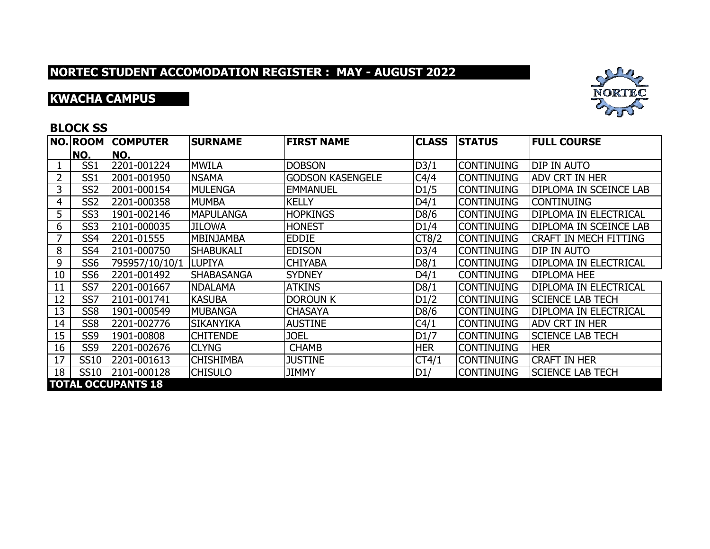## **KWACHA CAMPUS**



### **BLOCK SS**

|    | <b>NO.ROOM</b>            | <b>COMPUTER</b> | <b>SURNAME</b>    | <b>FIRST NAME</b>       | <b>CLASS</b> | <b>STATUS</b>     | <b>FULL COURSE</b>            |  |  |
|----|---------------------------|-----------------|-------------------|-------------------------|--------------|-------------------|-------------------------------|--|--|
|    | NO.                       | NO.             |                   |                         |              |                   |                               |  |  |
|    | SS <sub>1</sub>           | 2201-001224     | <b>MWILA</b>      | <b>DOBSON</b>           | D3/1         | <b>CONTINUING</b> | DIP IN AUTO                   |  |  |
|    | SS <sub>1</sub>           | 2001-001950     | <b>NSAMA</b>      | <b>GODSON KASENGELE</b> | C4/4         | <b>CONTINUING</b> | <b>ADV CRT IN HER</b>         |  |  |
| 3  | SS <sub>2</sub>           | 2001-000154     | MULENGA           | <b>EMMANUEL</b>         | D1/5         | <b>CONTINUING</b> | <b>DIPLOMA IN SCEINCE LAB</b> |  |  |
| 4  | SS <sub>2</sub>           | 2201-000358     | <b>MUMBA</b>      | <b>KELLY</b>            | D4/1         | <b>CONTINUING</b> | <b>CONTINUING</b>             |  |  |
| 5  | SS <sub>3</sub>           | 1901-002146     | <b>MAPULANGA</b>  | <b>HOPKINGS</b>         | D8/6         | <b>CONTINUING</b> | Idiploma in Electrical        |  |  |
| 6  | SS <sub>3</sub>           | 2101-000035     | <b>JILOWA</b>     | <b>HONEST</b>           | D1/4         | <b>CONTINUING</b> | DIPLOMA IN SCEINCE LAB        |  |  |
|    | SS4                       | 2201-01555      | <b>MBINJAMBA</b>  | <b>EDDIE</b>            | CT8/2        | <b>CONTINUING</b> | <b>CRAFT IN MECH FITTING</b>  |  |  |
| 8  | SS <sub>4</sub>           | 2101-000750     | <b>SHABUKALI</b>  | <b>EDISON</b>           | D3/4         | <b>CONTINUING</b> | <b>DIP IN AUTO</b>            |  |  |
| 9  | SS <sub>6</sub>           | 795957/10/10/1  | <b>LUPIYA</b>     | <b>CHIYABA</b>          | D8/1         | <b>CONTINUING</b> | IDIPLOMA IN ELECTRICAL        |  |  |
| 10 | SS <sub>6</sub>           | 2201-001492     | <b>SHABASANGA</b> | <b>SYDNEY</b>           | D4/1         | <b>CONTINUING</b> | <b>DIPLOMA HEE</b>            |  |  |
| 11 | SS7                       | 2201-001667     | <b>NDALAMA</b>    | <b>ATKINS</b>           | D8/1         | <b>CONTINUING</b> | <b>DIPLOMA IN ELECTRICAL</b>  |  |  |
| 12 | SS7                       | 2101-001741     | <b>KASUBA</b>     | <b>DOROUN K</b>         | D1/2         | <b>CONTINUING</b> | <b>SCIENCE LAB TECH</b>       |  |  |
| 13 | SS <sub>8</sub>           | 1901-000549     | <b>MUBANGA</b>    | <b>CHASAYA</b>          | D8/6         | <b>CONTINUING</b> | <b>DIPLOMA IN ELECTRICAL</b>  |  |  |
| 14 | SS <sub>8</sub>           | 2201-002776     | <b>SIKANYIKA</b>  | <b>AUSTINE</b>          | C4/1         | <b>CONTINUING</b> | IADV CRT IN HER               |  |  |
| 15 | SS9                       | 1901-00808      | <b>CHITENDE</b>   | <b>JOEL</b>             | D1/7         | <b>CONTINUING</b> | <b>SCIENCE LAB TECH</b>       |  |  |
| 16 | SS9                       | 2201-002676     | <b>CLYNG</b>      | <b>CHAMB</b>            | <b>HER</b>   | <b>CONTINUING</b> | <b>HER</b>                    |  |  |
| 17 | <b>SS10</b>               | 2201-001613     | <b>CHISHIMBA</b>  | <b>JUSTINE</b>          | CT4/1        | <b>CONTINUING</b> | <b>CRAFT IN HER</b>           |  |  |
| 18 | <b>SS10</b>               | 2101-000128     | <b>CHISULO</b>    | <b>JIMMY</b>            | D1/          | <b>CONTINUING</b> | <b>SCIENCE LAB TECH</b>       |  |  |
|    | <b>TOTAL OCCUPANTS 18</b> |                 |                   |                         |              |                   |                               |  |  |